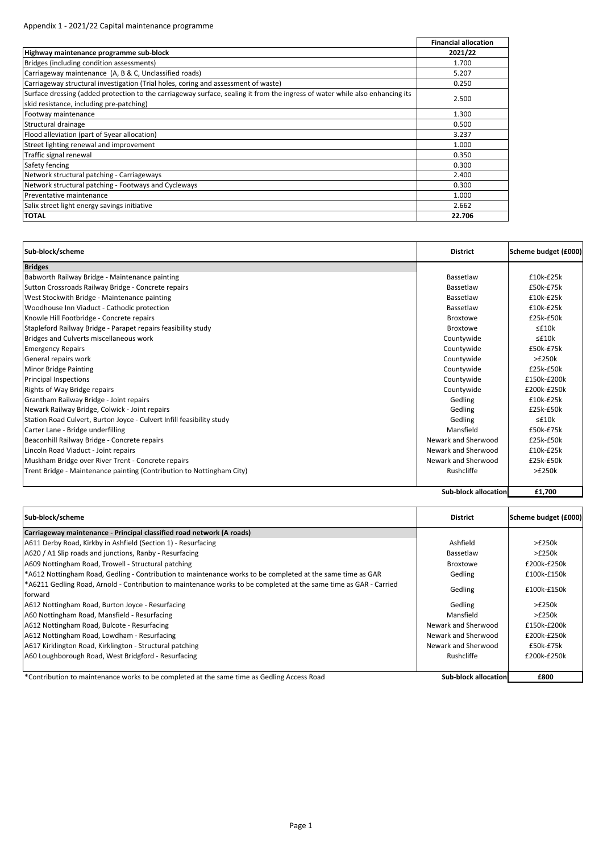## Appendix 1 ‐ 2021/22 Capital maintenance programme

|                                                                                                                                                                          | <b>Financial allocation</b> |
|--------------------------------------------------------------------------------------------------------------------------------------------------------------------------|-----------------------------|
| Highway maintenance programme sub-block                                                                                                                                  | 2021/22                     |
| Bridges (including condition assessments)                                                                                                                                | 1.700                       |
| Carriageway maintenance (A, B & C, Unclassified roads)                                                                                                                   | 5.207                       |
| Carriageway structural investigation (Trial holes, coring and assessment of waste)                                                                                       | 0.250                       |
| Surface dressing (added protection to the carriageway surface, sealing it from the ingress of water while also enhancing its<br>skid resistance, including pre-patching) | 2.500                       |
| Footway maintenance                                                                                                                                                      | 1.300                       |
| Structural drainage                                                                                                                                                      | 0.500                       |
| Flood alleviation (part of 5year allocation)                                                                                                                             | 3.237                       |
| Street lighting renewal and improvement                                                                                                                                  | 1.000                       |
| Traffic signal renewal                                                                                                                                                   | 0.350                       |
| Safety fencing                                                                                                                                                           | 0.300                       |
| Network structural patching - Carriageways                                                                                                                               | 2.400                       |
| Network structural patching - Footways and Cycleways                                                                                                                     | 0.300                       |
| Preventative maintenance                                                                                                                                                 | 1.000                       |
| Salix street light energy savings initiative                                                                                                                             | 2.662                       |
| <b>TOTAL</b>                                                                                                                                                             | 22.706                      |

| Sub-block/scheme                                                      | <b>District</b>             | Scheme budget (£000) |
|-----------------------------------------------------------------------|-----------------------------|----------------------|
| <b>Bridges</b>                                                        |                             |                      |
| Babworth Railway Bridge - Maintenance painting                        | Bassetlaw                   | £10k-£25k            |
| Sutton Crossroads Railway Bridge - Concrete repairs                   | Bassetlaw                   | £50k-£75k            |
| West Stockwith Bridge - Maintenance painting                          | Bassetlaw                   | £10k-£25k            |
| Woodhouse Inn Viaduct - Cathodic protection                           | Bassetlaw                   | £10k-£25k            |
| Knowle Hill Footbridge - Concrete repairs                             | <b>Broxtowe</b>             | £25k-£50k            |
| Stapleford Railway Bridge - Parapet repairs feasibility study         | <b>Broxtowe</b>             | $\leq$ £10 $k$       |
| Bridges and Culverts miscellaneous work                               | Countywide                  | $\leq$ £10 $k$       |
| <b>Emergency Repairs</b>                                              | Countywide                  | £50k-£75k            |
| General repairs work                                                  | Countywide                  | >E250k               |
| <b>Minor Bridge Painting</b>                                          | Countywide                  | £25k-£50k            |
| <b>Principal Inspections</b>                                          | Countywide                  | £150k-£200k          |
| Rights of Way Bridge repairs                                          | Countywide                  | £200k-£250k          |
| Grantham Railway Bridge - Joint repairs                               | Gedling                     | £10k-£25k            |
| Newark Railway Bridge, Colwick - Joint repairs                        | Gedling                     | £25k-£50k            |
| Station Road Culvert, Burton Joyce - Culvert Infill feasibility study | Gedling                     | $\leq$ £10 $k$       |
| Carter Lane - Bridge underfilling                                     | Mansfield                   | £50k-£75k            |
| Beaconhill Railway Bridge - Concrete repairs                          | Newark and Sherwood         | £25k-£50k            |
| Lincoln Road Viaduct - Joint repairs                                  | Newark and Sherwood         | £10k-£25k            |
| Muskham Bridge over River Trent - Concrete repairs                    | Newark and Sherwood         | £25k-£50k            |
| Trent Bridge - Maintenance painting (Contribution to Nottingham City) | Rushcliffe                  | >E250k               |
|                                                                       |                             |                      |
|                                                                       | <b>Sub-block allocation</b> | £1,700               |

| Sub-block/scheme                                                                                                             | <b>District</b>                | Scheme budget (£000) |
|------------------------------------------------------------------------------------------------------------------------------|--------------------------------|----------------------|
| Carriageway maintenance - Principal classified road network (A roads)                                                        |                                |                      |
| A611 Derby Road, Kirkby in Ashfield (Section 1) - Resurfacing                                                                | Ashfield                       | >E250k               |
| A620 / A1 Slip roads and junctions, Ranby - Resurfacing                                                                      | Bassetlaw                      | >E250k               |
| A609 Nottingham Road, Trowell - Structural patching                                                                          | <b>Broxtowe</b>                | £200k-£250k          |
| *A612 Nottingham Road, Gedling - Contribution to maintenance works to be completed at the same time as GAR                   | Gedling                        | £100k-£150k          |
| *A6211 Gedling Road, Arnold - Contribution to maintenance works to be completed at the same time as GAR - Carried<br>forward | Gedling                        | £100k-£150k          |
| A612 Nottingham Road, Burton Joyce - Resurfacing                                                                             | Gedling                        | >E250k               |
| A60 Nottingham Road, Mansfield - Resurfacing                                                                                 | Mansfield                      | >£250k               |
| A612 Nottingham Road, Bulcote - Resurfacing                                                                                  | Newark and Sherwood            | £150k-£200k          |
| A612 Nottingham Road, Lowdham - Resurfacing                                                                                  | Newark and Sherwood            | £200k-£250k          |
| A617 Kirklington Road, Kirklington - Structural patching                                                                     | Newark and Sherwood            | £50k-£75k            |
| A60 Loughborough Road, West Bridgford - Resurfacing                                                                          | Rushcliffe                     | £200k-£250k          |
|                                                                                                                              |                                |                      |
| *Oppertisting the contribution of the state of the contribution of the contribution of Condition America Deput               | Ander tellerate et l'experienc | <b>COOO</b>          |

\*Contribution to maintenance works to be completed at the same time as Gedling Access Road **Subblock allocation E800**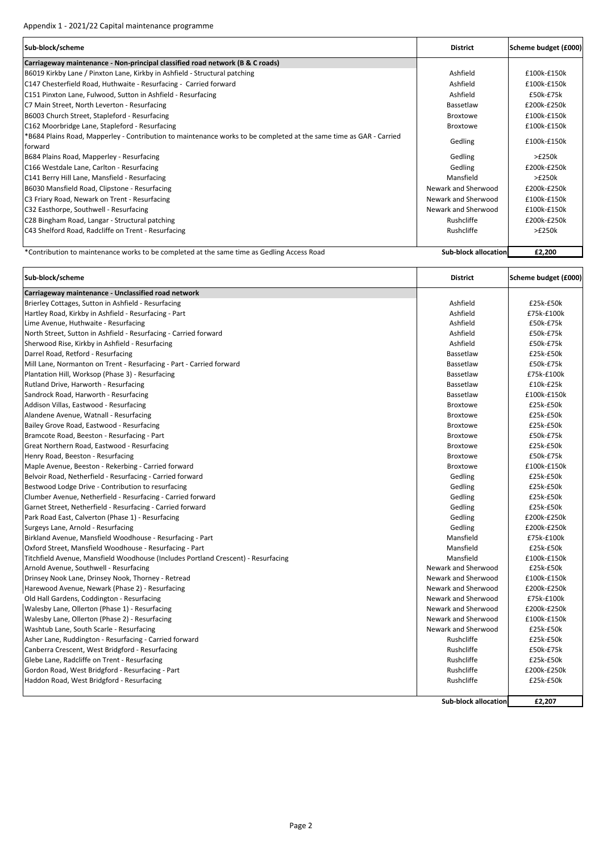| Sub-block/scheme                                                                                                   | <b>District</b>             | Scheme budget (£000) |
|--------------------------------------------------------------------------------------------------------------------|-----------------------------|----------------------|
| Carriageway maintenance - Non-principal classified road network (B & C roads)                                      |                             |                      |
| B6019 Kirkby Lane / Pinxton Lane, Kirkby in Ashfield - Structural patching                                         | Ashfield                    | £100k-£150k          |
| C147 Chesterfield Road, Huthwaite - Resurfacing - Carried forward                                                  | Ashfield                    | £100k-£150k          |
| C151 Pinxton Lane, Fulwood, Sutton in Ashfield - Resurfacing                                                       | Ashfield                    | £50k-£75k            |
| C7 Main Street, North Leverton - Resurfacing                                                                       | Bassetlaw                   | £200k-£250k          |
| B6003 Church Street, Stapleford - Resurfacing                                                                      | <b>Broxtowe</b>             | £100k-£150k          |
| C162 Moorbridge Lane, Stapleford - Resurfacing                                                                     | <b>Broxtowe</b>             | £100k-£150k          |
| *B684 Plains Road, Mapperley - Contribution to maintenance works to be completed at the same time as GAR - Carried | Gedling                     | £100k-£150k          |
| forward                                                                                                            |                             |                      |
| B684 Plains Road, Mapperley - Resurfacing                                                                          | Gedling                     | >£250k               |
| C166 Westdale Lane, Carlton - Resurfacing                                                                          | Gedling                     | £200k-£250k          |
| C141 Berry Hill Lane, Mansfield - Resurfacing                                                                      | Mansfield                   | >E250k               |
| B6030 Mansfield Road, Clipstone - Resurfacing                                                                      | Newark and Sherwood         | £200k-£250k          |
| C3 Friary Road, Newark on Trent - Resurfacing                                                                      | Newark and Sherwood         | £100k-£150k          |
| C32 Easthorpe, Southwell - Resurfacing                                                                             | Newark and Sherwood         | £100k-£150k          |
| C28 Bingham Road, Langar - Structural patching                                                                     | Rushcliffe                  | £200k-£250k          |
| C43 Shelford Road, Radcliffe on Trent - Resurfacing                                                                | Rushcliffe                  | >E250k               |
|                                                                                                                    |                             |                      |
| *Contribution to maintenance works to be completed at the same time as Gedling Access Road                         | <b>Sub-block allocation</b> | £2,200               |

| Sub-block/scheme                                                                  | <b>District</b>             | Scheme budget (£000) |
|-----------------------------------------------------------------------------------|-----------------------------|----------------------|
| Carriageway maintenance - Unclassified road network                               |                             |                      |
| Brierley Cottages, Sutton in Ashfield - Resurfacing                               | Ashfield                    | £25k-£50k            |
| Hartley Road, Kirkby in Ashfield - Resurfacing - Part                             | Ashfield                    | £75k-£100k           |
| Lime Avenue, Huthwaite - Resurfacing                                              | Ashfield                    | £50k-£75k            |
| North Street, Sutton in Ashfield - Resurfacing - Carried forward                  | Ashfield                    | £50k-£75k            |
| Sherwood Rise, Kirkby in Ashfield - Resurfacing                                   | Ashfield                    | £50k-£75k            |
| Darrel Road, Retford - Resurfacing                                                | Bassetlaw                   | £25k-£50k            |
| Mill Lane, Normanton on Trent - Resurfacing - Part - Carried forward              | Bassetlaw                   | £50k-£75k            |
| Plantation Hill, Worksop (Phase 3) - Resurfacing                                  | Bassetlaw                   | £75k-£100k           |
| Rutland Drive, Harworth - Resurfacing                                             | Bassetlaw                   | £10k-£25k            |
| Sandrock Road, Harworth - Resurfacing                                             | Bassetlaw                   | £100k-£150k          |
| Addison Villas, Eastwood - Resurfacing                                            | <b>Broxtowe</b>             | £25k-£50k            |
| Alandene Avenue, Watnall - Resurfacing                                            | <b>Broxtowe</b>             | £25k-£50k            |
| Bailey Grove Road, Eastwood - Resurfacing                                         | <b>Broxtowe</b>             | £25k-£50k            |
| Bramcote Road, Beeston - Resurfacing - Part                                       | <b>Broxtowe</b>             | £50k-£75k            |
| Great Northern Road, Eastwood - Resurfacing                                       | <b>Broxtowe</b>             | £25k-£50k            |
| Henry Road, Beeston - Resurfacing                                                 | <b>Broxtowe</b>             | £50k-£75k            |
| Maple Avenue, Beeston - Rekerbing - Carried forward                               | <b>Broxtowe</b>             | £100k-£150k          |
| Belvoir Road, Netherfield - Resurfacing - Carried forward                         | Gedling                     | £25k-£50k            |
| Bestwood Lodge Drive - Contribution to resurfacing                                | Gedling                     | £25k-£50k            |
| Clumber Avenue, Netherfield - Resurfacing - Carried forward                       | Gedling                     | £25k-£50k            |
| Garnet Street, Netherfield - Resurfacing - Carried forward                        | Gedling                     | £25k-£50k            |
| Park Road East, Calverton (Phase 1) - Resurfacing                                 | Gedling                     | £200k-£250k          |
| Surgeys Lane, Arnold - Resurfacing                                                | Gedling                     | £200k-£250k          |
| Birkland Avenue, Mansfield Woodhouse - Resurfacing - Part                         | Mansfield                   | £75k-£100k           |
| Oxford Street, Mansfield Woodhouse - Resurfacing - Part                           | Mansfield                   | £25k-£50k            |
| Titchfield Avenue, Mansfield Woodhouse (Includes Portland Crescent) - Resurfacing | Mansfield                   | £100k-£150k          |
| Arnold Avenue, Southwell - Resurfacing                                            | Newark and Sherwood         | £25k-£50k            |
| Drinsey Nook Lane, Drinsey Nook, Thorney - Retread                                | Newark and Sherwood         | £100k-£150k          |
| Harewood Avenue, Newark (Phase 2) - Resurfacing                                   | Newark and Sherwood         | £200k-£250k          |
| Old Hall Gardens, Coddington - Resurfacing                                        | Newark and Sherwood         | £75k-£100k           |
| Walesby Lane, Ollerton (Phase 1) - Resurfacing                                    | Newark and Sherwood         | £200k-£250k          |
| Walesby Lane, Ollerton (Phase 2) - Resurfacing                                    | Newark and Sherwood         | £100k-£150k          |
| Washtub Lane, South Scarle - Resurfacing                                          | Newark and Sherwood         | £25k-£50k            |
| Asher Lane, Ruddington - Resurfacing - Carried forward                            | Rushcliffe                  | £25k-£50k            |
| Canberra Crescent, West Bridgford - Resurfacing                                   | Rushcliffe                  | £50k-£75k            |
| Glebe Lane, Radcliffe on Trent - Resurfacing                                      | Rushcliffe                  | £25k-£50k            |
| Gordon Road, West Bridgford - Resurfacing - Part                                  | Rushcliffe                  | £200k-£250k          |
| Haddon Road, West Bridgford - Resurfacing                                         | Rushcliffe                  | £25k-£50k            |
|                                                                                   | <b>Sub-block allocation</b> | £2,207               |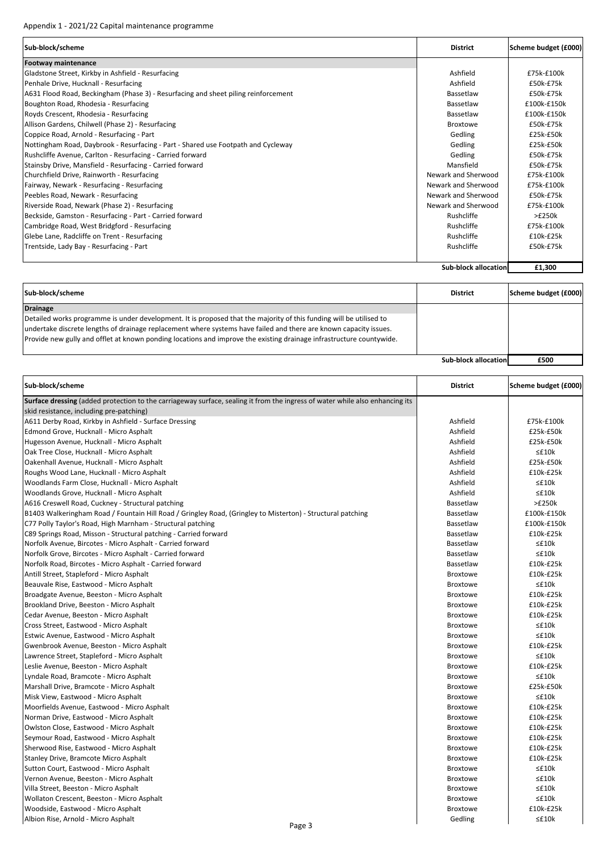## Appendix 1 ‐ 2021/22 Capital maintenance programme

| Sub-block/scheme                                                                   | <b>District</b>     | Scheme budget (£000) |
|------------------------------------------------------------------------------------|---------------------|----------------------|
| <b>Footway maintenance</b>                                                         |                     |                      |
| Gladstone Street, Kirkby in Ashfield - Resurfacing                                 | Ashfield            | £75k-£100k           |
| Penhale Drive, Hucknall - Resurfacing                                              | Ashfield            | £50k-£75k            |
| A631 Flood Road, Beckingham (Phase 3) - Resurfacing and sheet piling reinforcement | Bassetlaw           | £50k-£75k            |
| Boughton Road, Rhodesia - Resurfacing                                              | Bassetlaw           | £100k-£150k          |
| Royds Crescent, Rhodesia - Resurfacing                                             | Bassetlaw           | £100k-£150k          |
| Allison Gardens, Chilwell (Phase 2) - Resurfacing                                  | <b>Broxtowe</b>     | £50k-£75k            |
| Coppice Road, Arnold - Resurfacing - Part                                          | Gedling             | £25k-£50k            |
| Nottingham Road, Daybrook - Resurfacing - Part - Shared use Footpath and Cycleway  | Gedling             | £25k-£50k            |
| Rushcliffe Avenue, Carlton - Resurfacing - Carried forward                         | Gedling             | £50k-£75k            |
| Stainsby Drive, Mansfield - Resurfacing - Carried forward                          | Mansfield           | £50k-£75k            |
| Churchfield Drive, Rainworth - Resurfacing                                         | Newark and Sherwood | £75k-£100k           |
| Fairway, Newark - Resurfacing - Resurfacing                                        | Newark and Sherwood | £75k-£100k           |
| Peebles Road, Newark - Resurfacing                                                 | Newark and Sherwood | £50k-£75k            |
| Riverside Road, Newark (Phase 2) - Resurfacing                                     | Newark and Sherwood | £75k-£100k           |
| Beckside, Gamston - Resurfacing - Part - Carried forward                           | Rushcliffe          | >£250k               |
| Cambridge Road, West Bridgford - Resurfacing                                       | Rushcliffe          | £75k-£100k           |
| Glebe Lane, Radcliffe on Trent - Resurfacing                                       | Rushcliffe          | £10k-£25k            |
| Trentside, Lady Bay - Resurfacing - Part                                           | Rushcliffe          | £50k-£75k            |
|                                                                                    |                     |                      |

**Sub‐block allocation £1,300**

| Sub-block/scheme                                                                                                                                                                                                                                                                                                                                                                    | <b>District</b>             | Scheme budget (£000) |
|-------------------------------------------------------------------------------------------------------------------------------------------------------------------------------------------------------------------------------------------------------------------------------------------------------------------------------------------------------------------------------------|-----------------------------|----------------------|
| <b>Drainage</b><br>Detailed works programme is under development. It is proposed that the majority of this funding will be utilised to<br>undertake discrete lengths of drainage replacement where systems have failed and there are known capacity issues.<br>Provide new gully and offlet at known ponding locations and improve the existing drainage infrastructure countywide. |                             |                      |
|                                                                                                                                                                                                                                                                                                                                                                                     | <b>Sub-block allocation</b> | £500                 |

| Sub-block/scheme                                                                                                             | <b>District</b>            | Scheme budget (£000) |
|------------------------------------------------------------------------------------------------------------------------------|----------------------------|----------------------|
| Surface dressing (added protection to the carriageway surface, sealing it from the ingress of water while also enhancing its |                            |                      |
| skid resistance, including pre-patching)                                                                                     |                            |                      |
| A611 Derby Road, Kirkby in Ashfield - Surface Dressing                                                                       | Ashfield                   | £75k-£100k           |
| Edmond Grove, Hucknall - Micro Asphalt                                                                                       | Ashfield                   | £25k-£50k            |
| Hugesson Avenue, Hucknall - Micro Asphalt                                                                                    | Ashfield                   | £25k-£50k            |
| Oak Tree Close, Hucknall - Micro Asphalt                                                                                     | Ashfield                   | $\leq$ £10 $k$       |
| Oakenhall Avenue, Hucknall - Micro Asphalt                                                                                   | Ashfield                   | £25k-£50k            |
| Roughs Wood Lane, Hucknall - Micro Asphalt                                                                                   | Ashfield                   | £10k-£25k            |
| Woodlands Farm Close, Hucknall - Micro Asphalt                                                                               | Ashfield                   | $\leq$ £10 $k$       |
| Woodlands Grove, Hucknall - Micro Asphalt                                                                                    | Ashfield                   | $\leq$ £10 $k$       |
| A616 Creswell Road, Cuckney - Structural patching                                                                            | Bassetlaw                  | >£250k               |
| B1403 Walkeringham Road / Fountain Hill Road / Gringley Road, (Gringley to Misterton) - Structural patching                  | Bassetlaw                  | £100k-£150k          |
| C77 Polly Taylor's Road, High Marnham - Structural patching                                                                  | Bassetlaw                  | £100k-£150k          |
| C89 Springs Road, Misson - Structural patching - Carried forward                                                             | Bassetlaw                  | £10k-£25k            |
| Norfolk Avenue, Bircotes - Micro Asphalt - Carried forward                                                                   | Bassetlaw                  | $\leq$ £10 $k$       |
| Norfolk Grove, Bircotes - Micro Asphalt - Carried forward                                                                    | Bassetlaw                  | $\leq$ £10 $k$       |
| Norfolk Road, Bircotes - Micro Asphalt - Carried forward                                                                     | Bassetlaw                  | £10k-£25k            |
| Antill Street, Stapleford - Micro Asphalt                                                                                    | <b>Broxtowe</b>            | £10k-£25k            |
| Beauvale Rise, Eastwood - Micro Asphalt                                                                                      | Broxtowe                   | $\leq$ £10 $k$       |
| Broadgate Avenue, Beeston - Micro Asphalt                                                                                    | <b>Broxtowe</b>            | £10k-£25k            |
| Brookland Drive, Beeston - Micro Asphalt                                                                                     | <b>Broxtowe</b>            | £10k-£25k            |
| Cedar Avenue, Beeston - Micro Asphalt                                                                                        | <b>Broxtowe</b>            | £10k-£25k            |
| Cross Street, Eastwood - Micro Asphalt                                                                                       | <b>Broxtowe</b>            | $\leq$ £10 $k$       |
| Estwic Avenue, Eastwood - Micro Asphalt                                                                                      | <b>Broxtowe</b>            | $\leq$ £10 $k$       |
| Gwenbrook Avenue, Beeston - Micro Asphalt                                                                                    | <b>Broxtowe</b>            | £10k-£25k            |
| Lawrence Street, Stapleford - Micro Asphalt                                                                                  | <b>Broxtowe</b>            | $\leq$ £10 $k$       |
| Leslie Avenue, Beeston - Micro Asphalt                                                                                       | <b>Broxtowe</b>            | £10k-£25k            |
| Lyndale Road, Bramcote - Micro Asphalt                                                                                       | <b>Broxtowe</b>            | $\leq$ £10 $k$       |
| Marshall Drive, Bramcote - Micro Asphalt                                                                                     | <b>Broxtowe</b>            | £25k-£50k            |
| Misk View, Eastwood - Micro Asphalt                                                                                          | <b>Broxtowe</b>            | $\leq$ £10 $k$       |
| Moorfields Avenue, Eastwood - Micro Asphalt                                                                                  | <b>Broxtowe</b>            | £10k-£25k            |
| Norman Drive, Eastwood - Micro Asphalt                                                                                       | <b>Broxtowe</b>            | £10k-£25k            |
| Owlston Close, Eastwood - Micro Asphalt                                                                                      | <b>Broxtowe</b>            | £10k-£25k            |
| Seymour Road, Eastwood - Micro Asphalt                                                                                       | Broxtowe                   | £10k-£25k            |
| Sherwood Rise, Eastwood - Micro Asphalt                                                                                      | <b>Broxtowe</b>            | £10k-£25k            |
| Stanley Drive, Bramcote Micro Asphalt                                                                                        | <b>Broxtowe</b>            | £10k-£25k            |
| Sutton Court, Eastwood - Micro Asphalt                                                                                       | <b>Broxtowe</b>            | $\leq$ £10 $k$       |
| Vernon Avenue, Beeston - Micro Asphalt                                                                                       | <b>Broxtowe</b>            | $\leq$ £10 $k$       |
| Villa Street, Beeston - Micro Asphalt                                                                                        | <b>Broxtowe</b>            | $\leq$ £10 $k$       |
| Wollaton Crescent, Beeston - Micro Asphalt                                                                                   | <b>Broxtowe</b>            | $\leq$ £10 $k$       |
|                                                                                                                              |                            | £10k-£25k            |
| Woodside, Eastwood - Micro Asphalt<br>Albion Rise, Arnold - Micro Asphalt                                                    | <b>Broxtowe</b><br>Gedling | $\leq$ £10 $k$       |
| Page 3                                                                                                                       |                            |                      |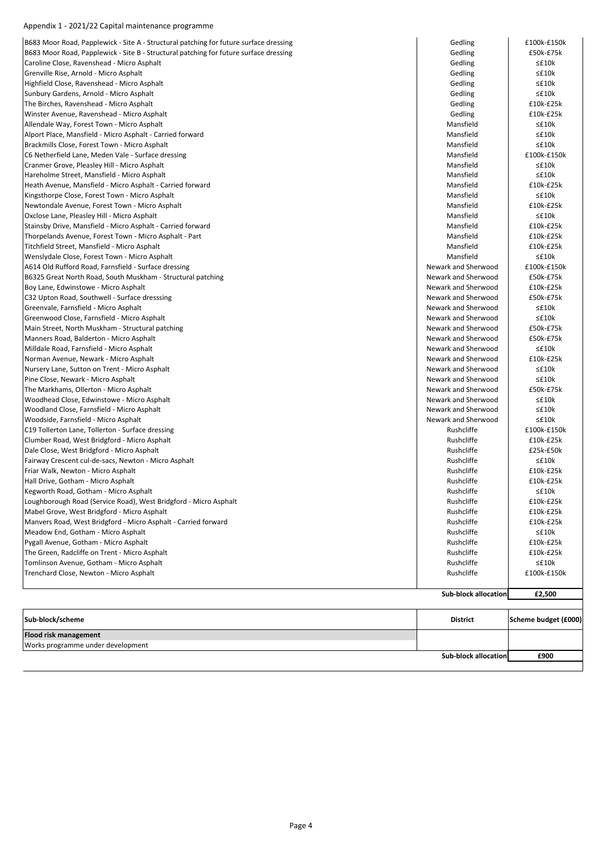## Appendix 1 ‐ 2021/22 Capital maintenance programme

| Sub-block/scheme<br>Flood risk management                                                                 | <b>District</b>             | Scheme budget (£000)        |
|-----------------------------------------------------------------------------------------------------------|-----------------------------|-----------------------------|
|                                                                                                           |                             |                             |
|                                                                                                           |                             |                             |
|                                                                                                           | <b>Sub-block allocation</b> | £2,500                      |
|                                                                                                           |                             |                             |
| Trenchard Close, Newton - Micro Asphalt                                                                   | Rushcliffe                  | £100k-£150k                 |
| Tomlinson Avenue, Gotham - Micro Asphalt                                                                  | Rushcliffe                  | $\leq$ £10 $k$              |
| The Green, Radcliffe on Trent - Micro Asphalt                                                             | Rushcliffe                  | $£10k-E25k$                 |
| Pygall Avenue, Gotham - Micro Asphalt                                                                     | Rushcliffe                  | $£10k-E25k$                 |
| Meadow End, Gotham - Micro Asphalt                                                                        | Rushcliffe                  | $\leq$ £10 $k$              |
| Manvers Road, West Bridgford - Micro Asphalt - Carried forward                                            | Rushcliffe                  | £10k-£25k                   |
| Mabel Grove, West Bridgford - Micro Asphalt                                                               | Rushcliffe                  | £10k-£25k                   |
| Kegworth Road, Gotham - Micro Asphalt<br>Loughborough Road (Service Road), West Bridgford - Micro Asphalt | Rushcliffe<br>Rushcliffe    | $\leq$ £10 $k$<br>£10k-£25k |
| Hall Drive, Gotham - Micro Asphalt                                                                        | Rushcliffe                  | £10k-£25k                   |
| Friar Walk, Newton - Micro Asphalt                                                                        | Rushcliffe                  | £10k-£25k                   |
| Fairway Crescent cul-de-sacs, Newton - Micro Asphalt                                                      | Rushcliffe                  | $\leq$ £10 $k$              |
| Dale Close, West Bridgford - Micro Asphalt                                                                | Rushcliffe                  | £25k-£50k                   |
| Clumber Road, West Bridgford - Micro Asphalt                                                              | Rushcliffe                  | £10k-£25k                   |
| C19 Tollerton Lane, Tollerton - Surface dressing                                                          | Rushcliffe                  | £100k-£150k                 |
| Woodside, Farnsfield - Micro Asphalt                                                                      | Newark and Sherwood         | ≤£10k                       |
| Woodland Close, Farnsfield - Micro Asphalt                                                                | Newark and Sherwood         | $\leq$ £10 $k$              |
| Woodhead Close, Edwinstowe - Micro Asphalt                                                                | Newark and Sherwood         | ≤£10k                       |
| The Markhams, Ollerton - Micro Asphalt                                                                    | Newark and Sherwood         | £50k-£75k                   |
| Pine Close, Newark - Micro Asphalt                                                                        | Newark and Sherwood         | $\leq$ £10 $k$              |
| Nursery Lane, Sutton on Trent - Micro Asphalt                                                             | Newark and Sherwood         | ≤£10k                       |
| Norman Avenue, Newark - Micro Asphalt                                                                     | Newark and Sherwood         | $£10k-E25k$                 |
| Milldale Road, Farnsfield - Micro Asphalt                                                                 | Newark and Sherwood         | $\leq$ £10 $k$              |
| Manners Road, Balderton - Micro Asphalt                                                                   | Newark and Sherwood         | £50k-£75k                   |
| Main Street, North Muskham - Structural patching                                                          | Newark and Sherwood         | £50k-£75k                   |
| Greenwood Close, Farnsfield - Micro Asphalt                                                               | Newark and Sherwood         | $\leq$ £10 $k$              |
| Greenvale, Farnsfield - Micro Asphalt                                                                     | Newark and Sherwood         | $\leq$ £10 $k$              |
| C32 Upton Road, Southwell - Surface dresssing                                                             | Newark and Sherwood         | £50k-£75k                   |
| Boy Lane, Edwinstowe - Micro Asphalt                                                                      | Newark and Sherwood         | £10k-£25k                   |
| B6325 Great North Road, South Muskham - Structural patching                                               | Newark and Sherwood         | £50k-£75k                   |
| A614 Old Rufford Road, Farnsfield - Surface dressing                                                      | Newark and Sherwood         | £100k-£150k                 |
| Wenslydale Close, Forest Town - Micro Asphalt                                                             | Mansfield                   | ≤£10k                       |
| Titchfield Street, Mansfield - Micro Asphalt                                                              | Mansfield                   | $£10k-E25k$                 |
| Thorpelands Avenue, Forest Town - Micro Asphalt - Part                                                    | Mansfield                   | £10k-£25k                   |
| Stainsby Drive, Mansfield - Micro Asphalt - Carried forward                                               | Mansfield                   | £10k-£25k                   |
| Oxclose Lane, Pleasley Hill - Micro Asphalt                                                               | Mansfield                   | $\leq$ £10 $k$              |
| Newtondale Avenue, Forest Town - Micro Asphalt                                                            | Mansfield                   | £10k-£25k                   |
| Kingsthorpe Close, Forest Town - Micro Asphalt                                                            | Mansfield                   | ≤£10k                       |
| Heath Avenue, Mansfield - Micro Asphalt - Carried forward                                                 | Mansfield                   | £10k-£25k                   |
| Hareholme Street, Mansfield - Micro Asphalt                                                               | Mansfield                   | ≤£10k                       |
| Cranmer Grove, Pleasley Hill - Micro Asphalt                                                              | Mansfield                   | $\leq$ £10 $k$              |
| C6 Netherfield Lane, Meden Vale - Surface dressing                                                        | Mansfield                   | £100k-£150k                 |
| Brackmills Close, Forest Town - Micro Asphalt                                                             | Mansfield                   | ≤£10k                       |
| Alport Place, Mansfield - Micro Asphalt - Carried forward                                                 | Mansfield                   | $\leq$ £10 $k$              |
| Allendale Way, Forest Town - Micro Asphalt                                                                | Mansfield                   | $\leq$ £10 $k$              |
| Winster Avenue, Ravenshead - Micro Asphalt                                                                | Gedling                     | £10k-£25k                   |
| The Birches, Ravenshead - Micro Asphalt                                                                   | Gedling                     | £10k-£25k                   |
| Sunbury Gardens, Arnold - Micro Asphalt                                                                   | Gedling                     | $\leq$ £10 $k$              |
| Highfield Close, Ravenshead - Micro Asphalt                                                               | Gedling                     | $\leq$ £10 $k$              |
| Grenville Rise, Arnold - Micro Asphalt                                                                    | Gedling                     | $\leq$ £10 $k$              |
| Caroline Close, Ravenshead - Micro Asphalt                                                                | Gedling                     | ≤£10k                       |
| B683 Moor Road, Papplewick - Site B - Structural patching for future surface dressing                     | Gedling                     | £50k-£75k                   |
| B683 Moor Road, Papplewick - Site A - Structural patching for future surface dressing                     | Gedling                     | £100k-£150k                 |

**Sub‐block allocation £900**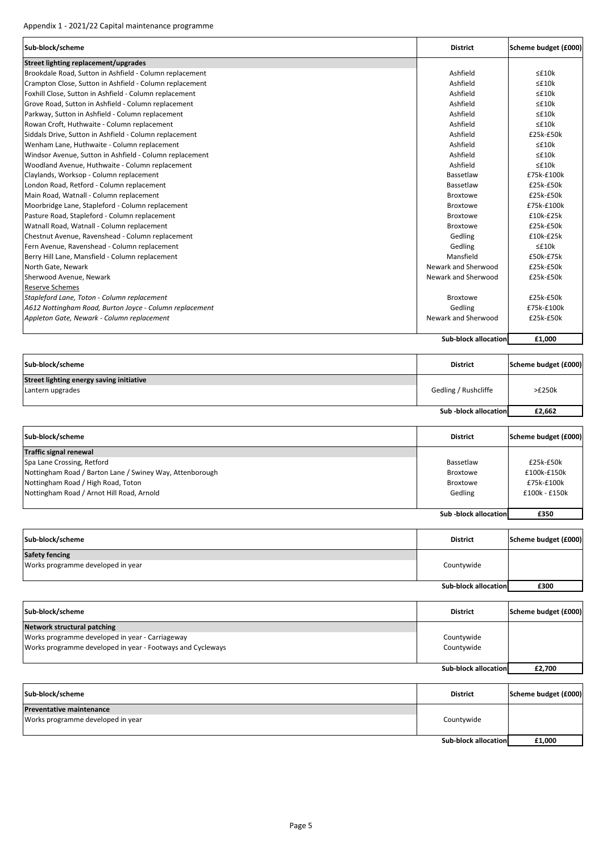| Sub-block/scheme                                        | <b>District</b>             | Scheme budget (£000) |
|---------------------------------------------------------|-----------------------------|----------------------|
| Street lighting replacement/upgrades                    |                             |                      |
| Brookdale Road, Sutton in Ashfield - Column replacement | Ashfield                    | $\leq$ £10 $k$       |
| Crampton Close, Sutton in Ashfield - Column replacement | Ashfield                    | $\leq$ £10 $k$       |
| Foxhill Close, Sutton in Ashfield - Column replacement  | Ashfield                    | $\leq$ £10 $k$       |
| Grove Road, Sutton in Ashfield - Column replacement     | Ashfield                    | $\leq$ £10 $k$       |
| Parkway, Sutton in Ashfield - Column replacement        | Ashfield                    | $\leq$ £10 $k$       |
| Rowan Croft, Huthwaite - Column replacement             | Ashfield                    | $\leq$ £10 $k$       |
| Siddals Drive, Sutton in Ashfield - Column replacement  | Ashfield                    | £25k-£50k            |
| Wenham Lane, Huthwaite - Column replacement             | Ashfield                    | $\leq$ £10 $k$       |
| Windsor Avenue, Sutton in Ashfield - Column replacement | Ashfield                    | $\leq$ £10 $k$       |
| Woodland Avenue, Huthwaite - Column replacement         | Ashfield                    | $\leq$ £10 $k$       |
| Claylands, Worksop - Column replacement                 | Bassetlaw                   | £75k-£100k           |
| London Road, Retford - Column replacement               | Bassetlaw                   | £25k-£50k            |
| Main Road, Watnall - Column replacement                 | <b>Broxtowe</b>             | £25k-£50k            |
| Moorbridge Lane, Stapleford - Column replacement        | <b>Broxtowe</b>             | £75k-£100k           |
| Pasture Road, Stapleford - Column replacement           | <b>Broxtowe</b>             | £10k-£25k            |
| Watnall Road, Watnall - Column replacement              | <b>Broxtowe</b>             | £25k-£50k            |
| Chestnut Avenue, Ravenshead - Column replacement        | Gedling                     | £10k-£25k            |
| Fern Avenue, Ravenshead - Column replacement            | Gedling                     | $\leq$ f10 $k$       |
| Berry Hill Lane, Mansfield - Column replacement         | Mansfield                   | £50k-£75k            |
| North Gate, Newark                                      | Newark and Sherwood         | £25k-£50k            |
| Sherwood Avenue, Newark                                 | Newark and Sherwood         | £25k-£50k            |
| <b>Reserve Schemes</b>                                  |                             |                      |
| Stapleford Lane, Toton - Column replacement             | <b>Broxtowe</b>             | £25k-£50k            |
| A612 Nottingham Road, Burton Joyce - Column replacement | Gedling                     | £75k-£100k           |
| Appleton Gate, Newark - Column replacement              | Newark and Sherwood         | £25k-£50k            |
|                                                         | <b>Sub-block allocation</b> | £1,000               |

| Sub-block/scheme                                             | <b>District</b>       | Scheme budget (£000) |
|--------------------------------------------------------------|-----------------------|----------------------|
| Street lighting energy saving initiative<br>Lantern upgrades | Gedling / Rushcliffe  | >E250k               |
|                                                              | Sub -block allocation | £2,662               |

| Sub-block/scheme                                         | <b>District</b>      | Scheme budget (£000) |
|----------------------------------------------------------|----------------------|----------------------|
| Traffic signal renewal                                   |                      |                      |
| Spa Lane Crossing, Retford                               | Bassetlaw            | £25k-£50k            |
| Nottingham Road / Barton Lane / Swiney Way, Attenborough | Broxtowe             | £100k-£150k          |
| Nottingham Road / High Road, Toton                       | Broxtowe             | £75k-£100k           |
| Nottingham Road / Arnot Hill Road, Arnold                | Gedling              | $£100k - £150k$      |
|                                                          |                      |                      |
|                                                          | Sub-block allocation | £350                 |

| Sub-block/scheme                                           | <b>District</b>             | Scheme budget (£000) |
|------------------------------------------------------------|-----------------------------|----------------------|
| <b>Safety fencing</b><br>Works programme developed in year | Countywide                  |                      |
|                                                            | <b>Sub-block allocation</b> | £300                 |

| Sub-block/scheme                                           | <b>District</b>             | Scheme budget (£000) |
|------------------------------------------------------------|-----------------------------|----------------------|
| Network structural patching                                |                             |                      |
| Works programme developed in year - Carriageway            | Countywide                  |                      |
| Works programme developed in year - Footways and Cycleways | Countywide                  |                      |
|                                                            |                             |                      |
|                                                            | <b>Sub-block allocation</b> | £2.700               |

| Sub-block/scheme                  | <b>District</b>      | Scheme budget (£000) |
|-----------------------------------|----------------------|----------------------|
| <b>Preventative maintenance</b>   | Countywide           |                      |
| Works programme developed in year |                      |                      |
|                                   |                      |                      |
|                                   | Sub-block allocation | £1,000               |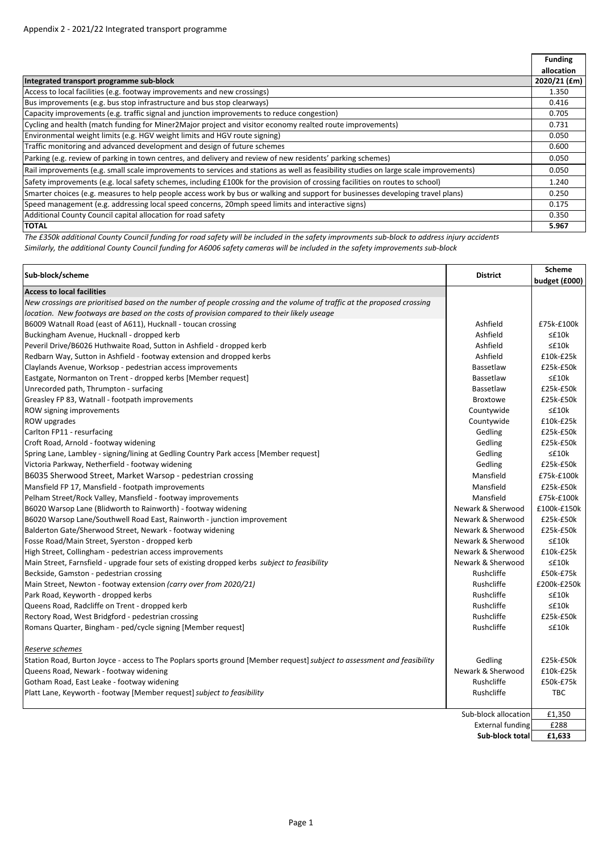|                                                                                                                                       | <b>Funding</b> |
|---------------------------------------------------------------------------------------------------------------------------------------|----------------|
|                                                                                                                                       | allocation     |
| Integrated transport programme sub-block                                                                                              | 2020/21 (£m)   |
| Access to local facilities (e.g. footway improvements and new crossings)                                                              | 1.350          |
| Bus improvements (e.g. bus stop infrastructure and bus stop clearways)                                                                | 0.416          |
| Capacity improvements (e.g. traffic signal and junction improvements to reduce congestion)                                            | 0.705          |
| Cycling and health (match funding for Miner2Major project and visitor economy realted route improvements)                             | 0.731          |
| Environmental weight limits (e.g. HGV weight limits and HGV route signing)                                                            | 0.050          |
| Traffic monitoring and advanced development and design of future schemes                                                              | 0.600          |
| Parking (e.g. review of parking in town centres, and delivery and review of new residents' parking schemes)                           | 0.050          |
| Rail improvements (e.g. small scale improvements to services and stations as well as feasibility studies on large scale improvements) | 0.050          |
| Safety improvements (e.g. local safety schemes, including £100k for the provision of crossing facilities on routes to school)         | 1.240          |
| [Smarter choices (e.g. measures to help people access work by bus or walking and support for businesses developing travel plans)      | 0.250          |
| (Speed management (e.g. addressing local speed concerns, 20mph speed limits and interactive signs)                                    | 0.175          |
| Additional County Council capital allocation for road safety                                                                          | 0.350          |
| <b>TOTAL</b>                                                                                                                          | 5.967          |

The £350k additional County Council funding for road safety will be included in the safety improvments sub-block to address injury accidents Similarly, the additional County Council funding for A6006 safety cameras will be included in the safety improvements sub-block

| Sub-block/scheme                                                                                                        | <b>District</b>         | <b>Scheme</b><br>budget (£000) |
|-------------------------------------------------------------------------------------------------------------------------|-------------------------|--------------------------------|
| <b>Access to local facilities</b>                                                                                       |                         |                                |
| New crossings are prioritised based on the number of people crossing and the volume of traffic at the proposed crossing |                         |                                |
| location. New footways are based on the costs of provision compared to their likely useage                              |                         |                                |
| B6009 Watnall Road (east of A611), Hucknall - toucan crossing                                                           | Ashfield                | £75k-£100k                     |
| Buckingham Avenue, Hucknall - dropped kerb                                                                              | Ashfield                | $\leq$ £10 $k$                 |
| Peveril Drive/B6026 Huthwaite Road, Sutton in Ashfield - dropped kerb                                                   | Ashfield                | $\leq$ £10 $k$                 |
| Redbarn Way, Sutton in Ashfield - footway extension and dropped kerbs                                                   | Ashfield                | £10k-£25k                      |
| Claylands Avenue, Worksop - pedestrian access improvements                                                              | Bassetlaw               | £25k-£50k                      |
| Eastgate, Normanton on Trent - dropped kerbs [Member request]                                                           | Bassetlaw               | $\leq$ £10 $k$                 |
| Unrecorded path, Thrumpton - surfacing                                                                                  | Bassetlaw               | £25k-£50k                      |
| Greasley FP 83, Watnall - footpath improvements                                                                         | <b>Broxtowe</b>         | £25k-£50k                      |
| ROW signing improvements                                                                                                | Countywide              | $\leq$ £10 $k$                 |
| ROW upgrades                                                                                                            | Countywide              | £10k-£25k                      |
| Carlton FP11 - resurfacing                                                                                              | Gedling                 | £25k-£50k                      |
| Croft Road, Arnold - footway widening                                                                                   | Gedling                 | £25k-£50k                      |
| Spring Lane, Lambley - signing/lining at Gedling Country Park access [Member request]                                   | Gedling                 | $\leq$ £10 $k$                 |
| Victoria Parkway, Netherfield - footway widening                                                                        | Gedling                 | £25k-£50k                      |
| B6035 Sherwood Street, Market Warsop - pedestrian crossing                                                              | Mansfield               | £75k-£100k                     |
| Mansfield FP 17, Mansfield - footpath improvements                                                                      | Mansfield               | £25k-£50k                      |
| Pelham Street/Rock Valley, Mansfield - footway improvements                                                             | Mansfield               | £75k-£100k                     |
| B6020 Warsop Lane (Blidworth to Rainworth) - footway widening                                                           | Newark & Sherwood       | £100k-£150k                    |
| B6020 Warsop Lane/Southwell Road East, Rainworth - junction improvement                                                 | Newark & Sherwood       | £25k-£50k                      |
| Balderton Gate/Sherwood Street, Newark - footway widening                                                               | Newark & Sherwood       | £25k-£50k                      |
| Fosse Road/Main Street, Syerston - dropped kerb                                                                         | Newark & Sherwood       | $\leq$ £10 $k$                 |
| High Street, Collingham - pedestrian access improvements                                                                | Newark & Sherwood       | £10k-£25k                      |
| Main Street, Farnsfield - upgrade four sets of existing dropped kerbs subject to feasibility                            | Newark & Sherwood       | $\leq$ £10 $k$                 |
| Beckside, Gamston - pedestrian crossing                                                                                 | Rushcliffe              | £50k-£75k                      |
| Main Street, Newton - footway extension (carry over from 2020/21)                                                       | Rushcliffe              | £200k-£250k                    |
| Park Road, Keyworth - dropped kerbs                                                                                     | Rushcliffe              | ≤£10k                          |
| Queens Road, Radcliffe on Trent - dropped kerb                                                                          | Rushcliffe              | $\leq$ £10 $k$                 |
| Rectory Road, West Bridgford - pedestrian crossing                                                                      | Rushcliffe              | £25k-£50k                      |
| Romans Quarter, Bingham - ped/cycle signing [Member request]                                                            | Rushcliffe              | $\leq$ £10 $k$                 |
| Reserve schemes                                                                                                         |                         |                                |
| Station Road, Burton Joyce - access to The Poplars sports ground [Member request] subject to assessment and feasibility | Gedling                 | £25k-£50k                      |
| Queens Road, Newark - footway widening                                                                                  | Newark & Sherwood       | £10k-£25k                      |
| Gotham Road, East Leake - footway widening                                                                              | Rushcliffe              | £50k-£75k                      |
| Platt Lane, Keyworth - footway [Member request] subject to feasibility                                                  | Rushcliffe              | <b>TBC</b>                     |
|                                                                                                                         | Sub-block allocation    | £1,350                         |
|                                                                                                                         | <b>External funding</b> | £288                           |
|                                                                                                                         | Sub-block total         | £1,633                         |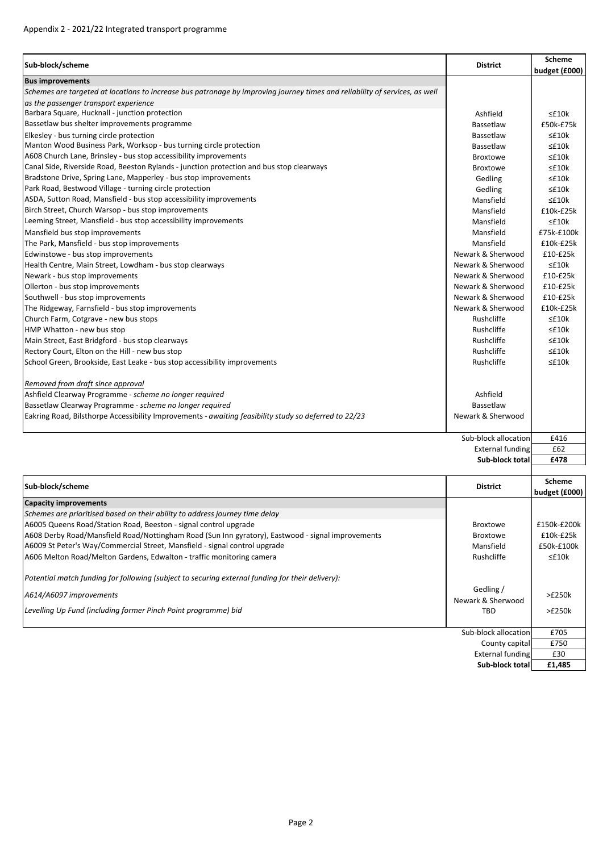| Sub-block/scheme                                                                                                            | <b>District</b>                | Scheme         |
|-----------------------------------------------------------------------------------------------------------------------------|--------------------------------|----------------|
| <b>Bus improvements</b>                                                                                                     |                                | budget (£000)  |
| Schemes are targeted at locations to increase bus patronage by improving journey times and reliability of services, as well |                                |                |
| as the passenger transport experience                                                                                       |                                |                |
| Barbara Square, Hucknall - junction protection                                                                              | Ashfield                       | $\leq$ £10 $k$ |
| Bassetlaw bus shelter improvements programme                                                                                | Bassetlaw                      | £50k-£75k      |
| Elkesley - bus turning circle protection                                                                                    | Bassetlaw                      | ≤£10k          |
| Manton Wood Business Park, Worksop - bus turning circle protection                                                          | Bassetlaw                      | $\leq$ £10 $k$ |
| A608 Church Lane, Brinsley - bus stop accessibility improvements                                                            | <b>Broxtowe</b>                | $\leq$ £10 $k$ |
| Canal Side, Riverside Road, Beeston Rylands - junction protection and bus stop clearways                                    | <b>Broxtowe</b>                | $\leq$ £10 $k$ |
| Bradstone Drive, Spring Lane, Mapperley - bus stop improvements                                                             | Gedling                        | $\leq$ £10 $k$ |
| Park Road, Bestwood Village - turning circle protection                                                                     | Gedling                        | $\leq$ £10 $k$ |
| ASDA, Sutton Road, Mansfield - bus stop accessibility improvements                                                          | Mansfield                      | $\leq$ £10 $k$ |
| Birch Street, Church Warsop - bus stop improvements                                                                         | Mansfield                      | £10k-£25k      |
| Leeming Street, Mansfield - bus stop accessibility improvements                                                             | Mansfield                      | $\leq$ £10 $k$ |
| Mansfield bus stop improvements                                                                                             | Mansfield                      | £75k-£100k     |
| The Park, Mansfield - bus stop improvements                                                                                 | Mansfield                      | £10k-£25k      |
| Edwinstowe - bus stop improvements                                                                                          | Newark & Sherwood              | £10-£25k       |
| Health Centre, Main Street, Lowdham - bus stop clearways                                                                    | Newark & Sherwood              | $\leq$ £10 $k$ |
| Newark - bus stop improvements                                                                                              | Newark & Sherwood              | £10-£25k       |
| Ollerton - bus stop improvements                                                                                            | Newark & Sherwood              | £10-£25k       |
| Southwell - bus stop improvements                                                                                           | Newark & Sherwood              | £10-£25k       |
| The Ridgeway, Farnsfield - bus stop improvements                                                                            | Newark & Sherwood              | £10k-£25k      |
| Church Farm, Cotgrave - new bus stops                                                                                       | Rushcliffe                     | $\leq$ £10 $k$ |
| HMP Whatton - new bus stop                                                                                                  | Rushcliffe                     | $\leq$ £10 $k$ |
| Main Street, East Bridgford - bus stop clearways                                                                            | Rushcliffe                     | $\leq$ £10 $k$ |
| Rectory Court, Elton on the Hill - new bus stop                                                                             | Rushcliffe                     | $\leq$ £10 $k$ |
| School Green, Brookside, East Leake - bus stop accessibility improvements                                                   | Rushcliffe                     | $\leq$ £10 $k$ |
| Removed from draft since approval                                                                                           |                                |                |
| Ashfield Clearway Programme - scheme no longer required                                                                     | Ashfield                       |                |
| Bassetlaw Clearway Programme - scheme no longer required                                                                    | Bassetlaw                      |                |
| Eakring Road, Bilsthorpe Accessibility Improvements - awaiting feasibility study so deferred to 22/23                       | Newark & Sherwood              |                |
|                                                                                                                             | Sub-block allocation           | £416           |
|                                                                                                                             | <b>External funding</b>        | £62            |
|                                                                                                                             | Sub-block total                | £478           |
| Sub-block/scheme                                                                                                            | <b>District</b>                | Scheme         |
|                                                                                                                             |                                | budget (£000)  |
| <b>Capacity improvements</b>                                                                                                |                                |                |
| Schemes are prioritised based on their ability to address journey time delay                                                |                                |                |
| A6005 Queens Road/Station Road, Beeston - signal control upgrade                                                            | <b>Broxtowe</b>                | £150k-£200k    |
| A608 Derby Road/Mansfield Road/Nottingham Road (Sun Inn gyratory), Eastwood - signal improvements                           | <b>Broxtowe</b>                | £10k-£25k      |
| A6009 St Peter's Way/Commercial Street, Mansfield - signal control upgrade                                                  | Mansfield                      | £50k-£100k     |
| A606 Melton Road/Melton Gardens, Edwalton - traffic monitoring camera                                                       | Rushcliffe                     | $\leq$ £10 $k$ |
| Potential match funding for following (subject to securing external funding for their delivery):                            |                                |                |
| A614/A6097 improvements                                                                                                     | Gedling /<br>Newark & Sherwood | >E250k         |
| Levelling Up Fund (including former Pinch Point programme) bid                                                              | TBD                            | >E250k         |

Sub-block allocation **£705** County capital **£750** External funding E30 **Sub‐block total £1,485**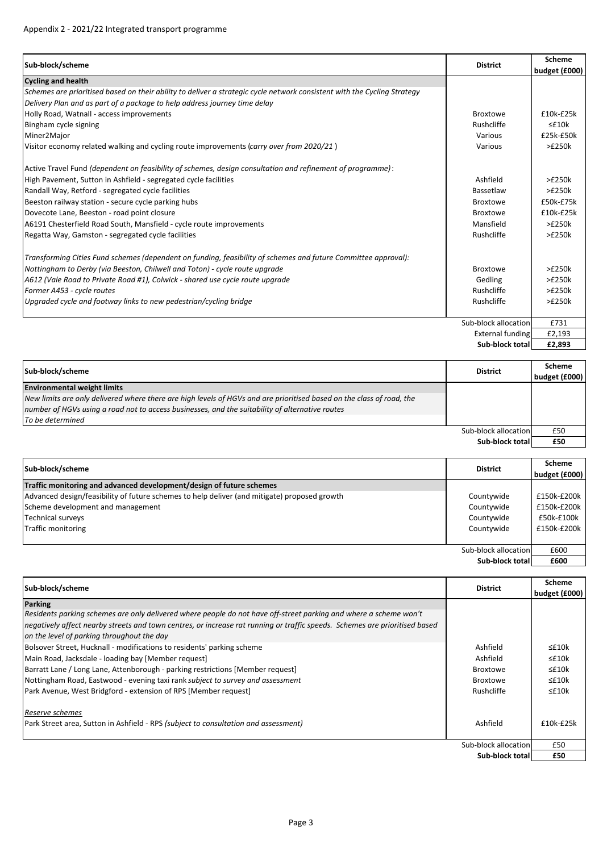| Sub-block/scheme                                                                                                         | <b>District</b>      | Scheme<br>budget (£000) |
|--------------------------------------------------------------------------------------------------------------------------|----------------------|-------------------------|
| <b>Cycling and health</b>                                                                                                |                      |                         |
| Schemes are prioritised based on their ability to deliver a strategic cycle network consistent with the Cycling Strategy |                      |                         |
| Delivery Plan and as part of a package to help address journey time delay                                                |                      |                         |
| Holly Road, Watnall - access improvements                                                                                | <b>Broxtowe</b>      | $£10k-E25k$             |
| Bingham cycle signing                                                                                                    | Rushcliffe           | $\leq$ £10 $k$          |
| Miner2Major                                                                                                              | Various              | £25k-£50k               |
| Visitor economy related walking and cycling route improvements (carry over from 2020/21)                                 | Various              | >£250k                  |
| Active Travel Fund (dependent on feasibility of schemes, design consultation and refinement of programme):               |                      |                         |
| High Pavement, Sutton in Ashfield - segregated cycle facilities                                                          | Ashfield             | >£250k                  |
| Randall Way, Retford - segregated cycle facilities                                                                       | Bassetlaw            | >£250k                  |
| Beeston railway station - secure cycle parking hubs                                                                      | <b>Broxtowe</b>      | £50k-£75k               |
| Dovecote Lane, Beeston - road point closure                                                                              | <b>Broxtowe</b>      | $£10k-E25k$             |
| A6191 Chesterfield Road South, Mansfield - cycle route improvements                                                      | Mansfield            | >£250k                  |
| Regatta Way, Gamston - segregated cycle facilities                                                                       | Rushcliffe           | >£250k                  |
| Transforming Cities Fund schemes (dependent on funding, feasibility of schemes and future Committee approval):           |                      |                         |
| Nottingham to Derby (via Beeston, Chilwell and Toton) - cycle route upgrade                                              | <b>Broxtowe</b>      | >£250k                  |
| A612 (Vale Road to Private Road #1), Colwick - shared use cycle route upgrade                                            | Gedling              | >£250k                  |
| Former A453 - cycle routes                                                                                               | Rushcliffe           | >£250k                  |
| Upgraded cycle and footway links to new pedestrian/cycling bridge                                                        | Rushcliffe           | >E250k                  |
|                                                                                                                          | Sub-block allocation | £731                    |
|                                                                                                                          | External funding     | £2,193                  |
|                                                                                                                          | Sub-block total      | £2,893                  |

| Sub-block/scheme                                                                                                      | <b>District</b>      | <b>Scheme</b><br>budget (£000) |
|-----------------------------------------------------------------------------------------------------------------------|----------------------|--------------------------------|
| <b>Environmental weight limits</b>                                                                                    |                      |                                |
| New limits are only delivered where there are high levels of HGVs and are prioritised based on the class of road, the |                      |                                |
| number of HGVs using a road not to access businesses, and the suitability of alternative routes                       |                      |                                |
| To be determined                                                                                                      |                      |                                |
|                                                                                                                       | Sub-block allocation | £50                            |
|                                                                                                                       | Sub-block total      | £50                            |

| Sub-block/scheme                                                                             | <b>District</b>      | <b>Scheme</b><br>budget (£000) |
|----------------------------------------------------------------------------------------------|----------------------|--------------------------------|
| Traffic monitoring and advanced development/design of future schemes                         |                      |                                |
| Advanced design/feasibility of future schemes to help deliver (and mitigate) proposed growth | Countywide           | £150k-£200k                    |
| Scheme development and management                                                            | Countywide           | £150k-£200k                    |
| <b>Technical surveys</b>                                                                     | Countywide           | £50k-£100k                     |
| Traffic monitoring                                                                           | Countywide           | £150k-£200k                    |
|                                                                                              |                      |                                |
|                                                                                              | Sub-block allocation | £600                           |
|                                                                                              | Sub-block total      | £600                           |

| Sub-block/scheme                                                                                                            | <b>District</b>      | Scheme<br>budget (£000) |
|-----------------------------------------------------------------------------------------------------------------------------|----------------------|-------------------------|
| <b>Parking</b>                                                                                                              |                      |                         |
| Residents parking schemes are only delivered where people do not have off-street parking and where a scheme won't           |                      |                         |
| negatively affect nearby streets and town centres, or increase rat running or traffic speeds. Schemes are prioritised based |                      |                         |
| on the level of parking throughout the day                                                                                  |                      |                         |
| Bolsover Street, Hucknall - modifications to residents' parking scheme                                                      | Ashfield             | $\leq$ £10 $k$          |
| Main Road, Jacksdale - loading bay [Member request]                                                                         | Ashfield             | $\leq$ £10 $k$          |
| Barratt Lane / Long Lane, Attenborough - parking restrictions [Member request]                                              | <b>Broxtowe</b>      | $\leq$ £10 $k$          |
| Nottingham Road, Eastwood - evening taxi rank subject to survey and assessment                                              | <b>Broxtowe</b>      | $\leq$ £10 $k$          |
| Park Avenue, West Bridgford - extension of RPS [Member request]                                                             | Rushcliffe           | $\leq$ £10 $k$          |
| Reserve schemes                                                                                                             |                      |                         |
| Park Street area, Sutton in Ashfield - RPS (subject to consultation and assessment)                                         | Ashfield             | $£10k-E25k$             |
|                                                                                                                             | Sub-block allocation | £50                     |
|                                                                                                                             | Sub-block total      | £50                     |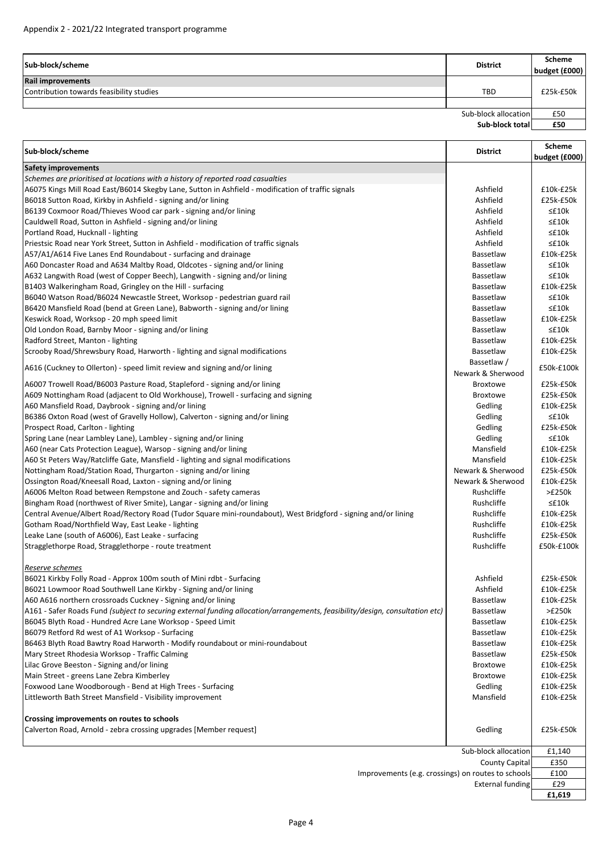| Sub-block/scheme                         | <b>District</b>      | Scheme<br>budget (£000) |
|------------------------------------------|----------------------|-------------------------|
| <b>Rail improvements</b>                 |                      |                         |
| Contribution towards feasibility studies | <b>TBD</b>           | £25k-£50k               |
|                                          |                      |                         |
|                                          | Sub-block allocation | £50                     |
|                                          | Sub-block total      | £50                     |

| Sub-block/scheme                                                                                                             | <b>District</b>         | <b>Scheme</b><br>budget (£000) |
|------------------------------------------------------------------------------------------------------------------------------|-------------------------|--------------------------------|
| Safety improvements                                                                                                          |                         |                                |
| Schemes are prioritised at locations with a history of reported road casualties                                              |                         |                                |
| A6075 Kings Mill Road East/B6014 Skegby Lane, Sutton in Ashfield - modification of traffic signals                           | Ashfield                | £10k-£25k                      |
| B6018 Sutton Road, Kirkby in Ashfield - signing and/or lining                                                                | Ashfield                | £25k-£50k                      |
| B6139 Coxmoor Road/Thieves Wood car park - signing and/or lining                                                             | Ashfield                | ≤£10k                          |
| Cauldwell Road, Sutton in Ashfield - signing and/or lining                                                                   | Ashfield                | ≤£10k                          |
| Portland Road, Hucknall - lighting                                                                                           | Ashfield                | $\leq$ £10 $k$                 |
| Priestsic Road near York Street, Sutton in Ashfield - modification of traffic signals                                        | Ashfield                | $\leq$ £10 $k$                 |
| A57/A1/A614 Five Lanes End Roundabout - surfacing and drainage                                                               | Bassetlaw               | $£10k-E25k$                    |
| A60 Doncaster Road and A634 Maltby Road, Oldcotes - signing and/or lining                                                    | Bassetlaw               | ≤£10k                          |
| A632 Langwith Road (west of Copper Beech), Langwith - signing and/or lining                                                  | Bassetlaw               | $\leq$ £10 $k$                 |
| B1403 Walkeringham Road, Gringley on the Hill - surfacing                                                                    | Bassetlaw               | £10k-£25k                      |
| B6040 Watson Road/B6024 Newcastle Street, Worksop - pedestrian guard rail                                                    | Bassetlaw               | ≤£10k                          |
| B6420 Mansfield Road (bend at Green Lane), Babworth - signing and/or lining                                                  | Bassetlaw               | ≤£10k                          |
| Keswick Road, Worksop - 20 mph speed limit                                                                                   | Bassetlaw               | £10k-£25k                      |
| Old London Road, Barnby Moor - signing and/or lining                                                                         | Bassetlaw               | ≤£10k                          |
| Radford Street, Manton - lighting                                                                                            | Bassetlaw               | £10k-£25k                      |
| Scrooby Road/Shrewsbury Road, Harworth - lighting and signal modifications                                                   | Bassetlaw               | $£10k-E25k$                    |
|                                                                                                                              | Bassetlaw /             |                                |
| A616 (Cuckney to Ollerton) - speed limit review and signing and/or lining                                                    | Newark & Sherwood       | £50k-£100k                     |
| A6007 Trowell Road/B6003 Pasture Road, Stapleford - signing and/or lining                                                    | <b>Broxtowe</b>         | £25k-£50k                      |
| A609 Nottingham Road (adjacent to Old Workhouse), Trowell - surfacing and signing                                            | Broxtowe                | £25k-£50k                      |
| A60 Mansfield Road, Daybrook - signing and/or lining                                                                         | Gedling                 | £10k-£25k                      |
| B6386 Oxton Road (west of Gravelly Hollow), Calverton - signing and/or lining                                                | Gedling                 | $\leq$ £10 $k$                 |
| Prospect Road, Carlton - lighting                                                                                            | Gedling                 | £25k-£50k                      |
| Spring Lane (near Lambley Lane), Lambley - signing and/or lining                                                             | Gedling                 | ≤£10k                          |
| A60 (near Cats Protection League), Warsop - signing and/or lining                                                            | Mansfield               | £10k-£25k                      |
| A60 St Peters Way/Ratcliffe Gate, Mansfield - lighting and signal modifications                                              | Mansfield               | £10k-£25k                      |
| Nottingham Road/Station Road, Thurgarton - signing and/or lining                                                             | Newark & Sherwood       | £25k-£50k                      |
| Ossington Road/Kneesall Road, Laxton - signing and/or lining                                                                 | Newark & Sherwood       | £10k-£25k                      |
| A6006 Melton Road between Rempstone and Zouch - safety cameras                                                               | Rushcliffe              | >E250k                         |
| Bingham Road (northwest of River Smite), Langar - signing and/or lining                                                      | Rushcliffe              | $\leq$ £10 $k$                 |
| Central Avenue/Albert Road/Rectory Road (Tudor Square mini-roundabout), West Bridgford - signing and/or lining               | Rushcliffe              | £10k-£25k                      |
| Gotham Road/Northfield Way, East Leake - lighting                                                                            | Rushcliffe              | £10k-£25k                      |
| Leake Lane (south of A6006), East Leake - surfacing                                                                          | Rushcliffe              | £25k-£50k                      |
| Stragglethorpe Road, Stragglethorpe - route treatment                                                                        | Rushcliffe              | £50k-£100k                     |
|                                                                                                                              |                         |                                |
| Reserve schemes<br>B6021 Kirkby Folly Road - Approx 100m south of Mini rdbt - Surfacing                                      | Ashfield                | £25k-£50k                      |
| B6021 Lowmoor Road Southwell Lane Kirkby - Signing and/or lining                                                             | Ashfield                | £10k-£25k                      |
| A60 A616 northern crossroads Cuckney - Signing and/or lining                                                                 | <b>Bassetlaw</b>        | £10k-£25k                      |
| A161 - Safer Roads Fund (subject to securing external funding allocation/arrangements, feasibility/design, consultation etc) | Bassetlaw               | >E250k                         |
| B6045 Blyth Road - Hundred Acre Lane Worksop - Speed Limit                                                                   | Bassetlaw               | £10k-£25k                      |
| B6079 Retford Rd west of A1 Worksop - Surfacing                                                                              | Bassetlaw               | £10k-£25k                      |
| B6463 Blyth Road Bawtry Road Harworth - Modify roundabout or mini-roundabout                                                 | Bassetlaw               | £10k-£25k                      |
| Mary Street Rhodesia Worksop - Traffic Calming                                                                               | Bassetlaw               | £25k-£50k                      |
| Lilac Grove Beeston - Signing and/or lining                                                                                  | <b>Broxtowe</b>         | £10k-£25k                      |
| Main Street - greens Lane Zebra Kimberley                                                                                    | <b>Broxtowe</b>         | £10k-£25k                      |
| Foxwood Lane Woodborough - Bend at High Trees - Surfacing                                                                    | Gedling                 | £10k-£25k                      |
| Littleworth Bath Street Mansfield - Visibility improvement                                                                   | Mansfield               | £10k-£25k                      |
|                                                                                                                              |                         |                                |
| Crossing improvements on routes to schools                                                                                   |                         |                                |
| Calverton Road, Arnold - zebra crossing upgrades [Member request]                                                            | Gedling                 | £25k-£50k                      |
|                                                                                                                              | Sub-block allocation    | £1,140                         |
|                                                                                                                              | <b>County Capital</b>   | £350                           |
| Improvements (e.g. crossings) on routes to schools                                                                           |                         | £100                           |
|                                                                                                                              | <b>External funding</b> | £29                            |

**£1,619**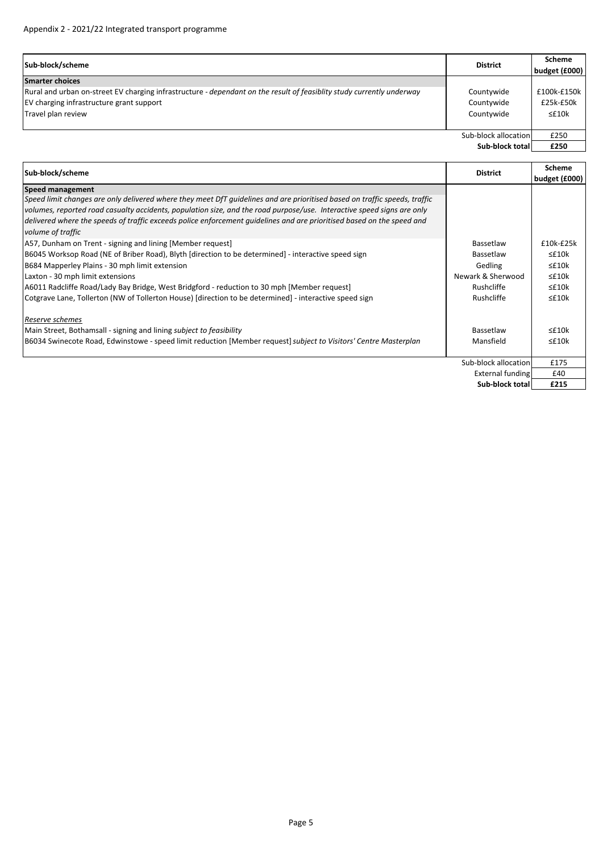| Sub-block/scheme                                                                                                      | <b>District</b>      | <b>Scheme</b><br>budget (£000) |
|-----------------------------------------------------------------------------------------------------------------------|----------------------|--------------------------------|
| <b>Smarter choices</b>                                                                                                |                      |                                |
| Rural and urban on-street EV charging infrastructure - dependant on the result of feasiblity study currently underway | Countywide           | £100k-£150k                    |
| EV charging infrastructure grant support                                                                              | Countywide           | £25k-£50k                      |
| Travel plan review                                                                                                    | Countywide           | $\leq$ £10 $k$                 |
|                                                                                                                       |                      |                                |
|                                                                                                                       | Sub-block allocation | £250                           |
|                                                                                                                       | Sub-block total      | £250                           |

| Sub-block/scheme                                                                                                                            | <b>District</b>      | <b>Scheme</b>  |
|---------------------------------------------------------------------------------------------------------------------------------------------|----------------------|----------------|
|                                                                                                                                             |                      | budget (£000)  |
| <b>Speed management</b>                                                                                                                     |                      |                |
| Speed limit changes are only delivered where they meet DfT quidelines and are prioritised based on traffic speeds, traffic                  |                      |                |
| volumes, reported road casualty accidents, population size, and the road purpose/use. Interactive speed signs are only                      |                      |                |
| delivered where the speeds of traffic exceeds police enforcement quidelines and are prioritised based on the speed and<br>volume of traffic |                      |                |
| A57, Dunham on Trent - signing and lining [Member request]                                                                                  | Bassetlaw            | £10k-£25k      |
| B6045 Worksop Road (NE of Briber Road), Blyth [direction to be determined] - interactive speed sign                                         | Bassetlaw            | $\leq$ £10 $k$ |
| B684 Mapperley Plains - 30 mph limit extension                                                                                              | Gedling              | $\leq$ £10 $k$ |
| Laxton - 30 mph limit extensions                                                                                                            | Newark & Sherwood    | $\leq$ £10 $k$ |
| A6011 Radcliffe Road/Lady Bay Bridge, West Bridgford - reduction to 30 mph [Member request]                                                 | Rushcliffe           | $\leq$ £10 $k$ |
| Cotgrave Lane, Tollerton (NW of Tollerton House) [direction to be determined] - interactive speed sign                                      | Rushcliffe           | $\leq$ £10 $k$ |
| Reserve schemes                                                                                                                             |                      |                |
| Main Street, Bothamsall - signing and lining subject to feasibility                                                                         | Bassetlaw            | $\leq$ £10 $k$ |
| B6034 Swinecote Road, Edwinstowe - speed limit reduction [Member request] subject to Visitors' Centre Masterplan                            | Mansfield            | $\leq$ £10 $k$ |
|                                                                                                                                             | Sub-block allocation | £175           |
|                                                                                                                                             | External funding     | £40            |
|                                                                                                                                             | Sub-block total      | £215           |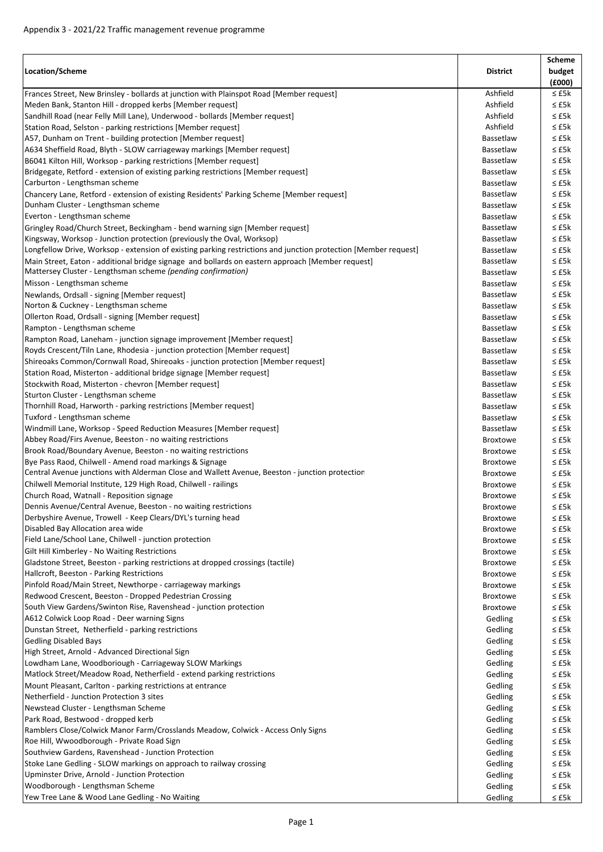| Location/Scheme                                                                                                                                                  | <b>District</b>    | Scheme<br>budget<br>(6000) |
|------------------------------------------------------------------------------------------------------------------------------------------------------------------|--------------------|----------------------------|
| Frances Street, New Brinsley - bollards at junction with Plainspot Road [Member request]                                                                         | Ashfield           | $\leq$ £5 $k$              |
| Meden Bank, Stanton Hill - dropped kerbs [Member request]                                                                                                        | Ashfield           | $\leq$ £5 $k$              |
| Sandhill Road (near Felly Mill Lane), Underwood - bollards [Member request]                                                                                      | Ashfield           | $\leq$ £5 $k$              |
| Station Road, Selston - parking restrictions [Member request]                                                                                                    | Ashfield           | $\leq$ £5 $k$              |
| A57, Dunham on Trent - building protection [Member request]                                                                                                      | Bassetlaw          | $\leq$ £5 $k$              |
| A634 Sheffield Road, Blyth - SLOW carriageway markings [Member request]                                                                                          | Bassetlaw          | $\leq$ £5 $k$              |
| B6041 Kilton Hill, Worksop - parking restrictions [Member request]                                                                                               | Bassetlaw          | $\leq$ £5 $k$              |
| Bridgegate, Retford - extension of existing parking restrictions [Member request]                                                                                | Bassetlaw          | $\leq$ £5 $k$              |
| Carburton - Lengthsman scheme                                                                                                                                    | Bassetlaw          | $\leq$ £5 $k$              |
| Chancery Lane, Retford - extension of existing Residents' Parking Scheme [Member request]                                                                        | Bassetlaw          | ≤ £5k                      |
| Dunham Cluster - Lengthsman scheme                                                                                                                               | Bassetlaw          | $\leq$ £5 $k$              |
| Everton - Lengthsman scheme                                                                                                                                      | Bassetlaw          | $\leq$ £5 $k$              |
| Gringley Road/Church Street, Beckingham - bend warning sign [Member request]                                                                                     | Bassetlaw          | $\leq$ £5 $k$              |
| Kingsway, Worksop - Junction protection (previously the Oval, Worksop)                                                                                           | Bassetlaw          | $\leq$ £5 $k$              |
| Longfellow Drive, Worksop - extension of existing parking restrictions and junction protection [Member request]                                                  | Bassetlaw          | $\leq$ £5 $k$              |
|                                                                                                                                                                  |                    | $\leq$ £5 $k$              |
| Main Street, Eaton - additional bridge signage and bollards on eastern approach [Member request]<br>Mattersey Cluster - Lengthsman scheme (pending confirmation) | Bassetlaw          |                            |
|                                                                                                                                                                  | Bassetlaw          | $\leq$ £5 $k$              |
| Misson - Lengthsman scheme                                                                                                                                       | Bassetlaw          | $\leq$ £5 $k$              |
| Newlands, Ordsall - signing [Member request]                                                                                                                     | Bassetlaw          | $\leq$ £5 $k$              |
| Norton & Cuckney - Lengthsman scheme                                                                                                                             | Bassetlaw          | $\leq$ £5 $k$              |
| Ollerton Road, Ordsall - signing [Member request]                                                                                                                | Bassetlaw          | ≤ £5k                      |
| Rampton - Lengthsman scheme                                                                                                                                      | Bassetlaw          | $\leq$ £5 $k$              |
| Rampton Road, Laneham - junction signage improvement [Member request]                                                                                            | Bassetlaw          | $\leq$ £5 $k$              |
| Royds Crescent/Tiln Lane, Rhodesia - junction protection [Member request]                                                                                        | Bassetlaw          | ≤ £5k                      |
| Shireoaks Common/Cornwall Road, Shireoaks - junction protection [Member request]                                                                                 | Bassetlaw          | $\leq$ £5 $k$              |
| Station Road, Misterton - additional bridge signage [Member request]                                                                                             | Bassetlaw          | $\leq$ £5 $k$              |
| Stockwith Road, Misterton - chevron [Member request]                                                                                                             | Bassetlaw          | $\leq$ £5 $k$              |
| Sturton Cluster - Lengthsman scheme                                                                                                                              | Bassetlaw          | $\leq$ £5 $k$              |
| Thornhill Road, Harworth - parking restrictions [Member request]                                                                                                 | Bassetlaw          | $\leq$ £5 $k$              |
| Tuxford - Lengthsman scheme                                                                                                                                      | Bassetlaw          | $\leq$ £5 $k$              |
| Windmill Lane, Worksop - Speed Reduction Measures [Member request]                                                                                               | Bassetlaw          | $\leq$ £5 $k$              |
| Abbey Road/Firs Avenue, Beeston - no waiting restrictions                                                                                                        | <b>Broxtowe</b>    | $\leq$ £5 $k$              |
| Brook Road/Boundary Avenue, Beeston - no waiting restrictions                                                                                                    | <b>Broxtowe</b>    | $\leq$ £5 $k$              |
| Bye Pass Raod, Chilwell - Amend road markings & Signage                                                                                                          | <b>Broxtowe</b>    | $\leq$ £5 $k$              |
| Central Avenue junctions with Alderman Close and Wallett Avenue, Beeston - junction protection                                                                   | <b>Broxtowe</b>    | ≤ £5k                      |
| Chilwell Memorial Institute, 129 High Road, Chilwell - railings                                                                                                  | <b>Broxtowe</b>    | $\leq$ £5 $k$              |
| Church Road, Watnall - Reposition signage                                                                                                                        | <b>Broxtowe</b>    | $\leq$ £5 $k$              |
| Dennis Avenue/Central Avenue, Beeston - no waiting restrictions                                                                                                  | Broxtowe           | $\leq$ £5k                 |
| Derbyshire Avenue, Trowell - Keep Clears/DYL's turning head                                                                                                      | <b>Broxtowe</b>    | $\leq$ £5k                 |
| Disabled Bay Allocation area wide                                                                                                                                | <b>Broxtowe</b>    | ≤ £5k                      |
| Field Lane/School Lane, Chilwell - junction protection                                                                                                           | <b>Broxtowe</b>    | ≤ £5k                      |
| Gilt Hill Kimberley - No Waiting Restrictions                                                                                                                    | <b>Broxtowe</b>    | ≤ £5k                      |
| Gladstone Street, Beeston - parking restrictions at dropped crossings (tactile)                                                                                  | <b>Broxtowe</b>    | ≤ £5k                      |
| Hallcroft, Beeston - Parking Restrictions                                                                                                                        | <b>Broxtowe</b>    | $\leq$ £5 $k$              |
| Pinfold Road/Main Street, Newthorpe - carriageway markings                                                                                                       | <b>Broxtowe</b>    | $\leq$ £5 $k$              |
| Redwood Crescent, Beeston - Dropped Pedestrian Crossing                                                                                                          | <b>Broxtowe</b>    | ≤ £5k                      |
| South View Gardens/Swinton Rise, Ravenshead - junction protection                                                                                                | <b>Broxtowe</b>    | $\leq$ £5 $k$              |
| A612 Colwick Loop Road - Deer warning Signs                                                                                                                      | Gedling            | ≤ £5k                      |
| Dunstan Street, Netherfield - parking restrictions                                                                                                               | Gedling            | ≤ £5k                      |
| <b>Gedling Disabled Bays</b>                                                                                                                                     | Gedling            | $\leq$ £5 $k$              |
| High Street, Arnold - Advanced Directional Sign                                                                                                                  | Gedling            | ≤ £5k                      |
| Lowdham Lane, Woodboriough - Carriageway SLOW Markings                                                                                                           | Gedling            | ≤ £5k                      |
| Matlock Street/Meadow Road, Netherfield - extend parking restrictions                                                                                            | Gedling            | $\leq$ £5 $k$              |
| Mount Pleasant, Carlton - parking restrictions at entrance                                                                                                       | Gedling            | ≤ £5k                      |
| Netherfield - Junction Protection 3 sites                                                                                                                        |                    |                            |
| Newstead Cluster - Lengthsman Scheme                                                                                                                             | Gedling<br>Gedling | ≤ £5k<br>$\leq$ £5 $k$     |
|                                                                                                                                                                  |                    |                            |
| Park Road, Bestwood - dropped kerb                                                                                                                               | Gedling            | ≤ £5k                      |
| Ramblers Close/Colwick Manor Farm/Crosslands Meadow, Colwick - Access Only Signs                                                                                 | Gedling            | $\leq$ £5 $k$              |
| Roe Hill, Wwoodborough - Private Road Sign                                                                                                                       | Gedling            | ≤ £5k                      |
| Southview Gardens, Ravenshead - Junction Protection                                                                                                              | Gedling            | ≤ £5k                      |
| Stoke Lane Gedling - SLOW markings on approach to railway crossing                                                                                               | Gedling            | ≤ £5k                      |
| Upminster Drive, Arnold - Junction Protection                                                                                                                    | Gedling            | ≤ £5k                      |
| Woodborough - Lengthsman Scheme                                                                                                                                  | Gedling            | ≤ £5k                      |
| Yew Tree Lane & Wood Lane Gedling - No Waiting                                                                                                                   | Gedling            | $\leq$ £5k                 |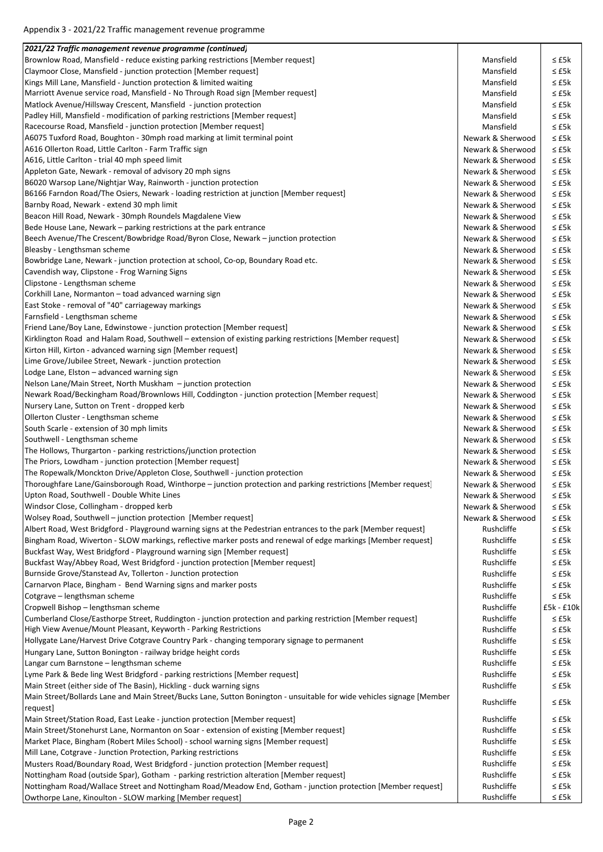| (continued) 2021/22 Traffic management revenue programme                                                                                                                         |                                        |                                |
|----------------------------------------------------------------------------------------------------------------------------------------------------------------------------------|----------------------------------------|--------------------------------|
| Brownlow Road, Mansfield - reduce existing parking restrictions [Member request]                                                                                                 | Mansfield                              | ≤ £5k                          |
| Claymoor Close, Mansfield - junction protection [Member request]                                                                                                                 | Mansfield                              | $\leq$ £5k                     |
| Kings Mill Lane, Mansfield - Junction protection & limited waiting                                                                                                               | Mansfield                              | $\leq$ £5k                     |
| Marriott Avenue service road, Mansfield - No Through Road sign [Member request]                                                                                                  | Mansfield                              | $\leq$ £5 $k$                  |
| Matlock Avenue/Hillsway Crescent, Mansfield - junction protection                                                                                                                | Mansfield                              | $\leq$ £5k                     |
| Padley Hill, Mansfield - modification of parking restrictions [Member request]                                                                                                   | Mansfield                              | $\leq$ £5k                     |
| Racecourse Road, Mansfield - junction protection [Member request]                                                                                                                | Mansfield                              | $\leq$ £5 $k$                  |
| A6075 Tuxford Road, Boughton - 30mph road marking at limit terminal point                                                                                                        | Newark & Sherwood                      | $\leq$ £5k                     |
| A616 Ollerton Road, Little Carlton - Farm Traffic sign                                                                                                                           | Newark & Sherwood                      | $\leq$ £5k                     |
| A616, Little Carlton - trial 40 mph speed limit                                                                                                                                  | Newark & Sherwood                      | $\leq$ £5 $k$                  |
| Appleton Gate, Newark - removal of advisory 20 mph signs                                                                                                                         | Newark & Sherwood                      | $\leq$ £5 $k$                  |
| B6020 Warsop Lane/Nightjar Way, Rainworth - junction protection                                                                                                                  | Newark & Sherwood                      | $\leq$ £5k                     |
| B6166 Farndon Road/The Osiers, Newark - loading restriction at junction [Member request]                                                                                         | Newark & Sherwood                      | $\leq$ £5k                     |
| Barnby Road, Newark - extend 30 mph limit                                                                                                                                        | Newark & Sherwood                      | $\leq$ £5 $k$                  |
| Beacon Hill Road, Newark - 30mph Roundels Magdalene View                                                                                                                         | Newark & Sherwood                      | $\leq$ £5 $k$                  |
| Bede House Lane, Newark – parking restrictions at the park entrance                                                                                                              | Newark & Sherwood                      | $\leq$ £5k                     |
| Beech Avenue/The Crescent/Bowbridge Road/Byron Close, Newark - junction protection<br>Bleasby - Lengthsman scheme                                                                | Newark & Sherwood<br>Newark & Sherwood | $\leq$ £5 $k$<br>$\leq$ £5 $k$ |
| Bowbridge Lane, Newark - junction protection at school, Co-op, Boundary Road etc.                                                                                                | Newark & Sherwood                      | $\leq$ £5 $k$                  |
| Cavendish way, Clipstone - Frog Warning Signs                                                                                                                                    | Newark & Sherwood                      | $\leq$ £5 $k$                  |
| Clipstone - Lengthsman scheme                                                                                                                                                    | Newark & Sherwood                      | $\leq$ £5 $k$                  |
| Corkhill Lane, Normanton - toad advanced warning sign                                                                                                                            | Newark & Sherwood                      | $\leq$ £5k                     |
| East Stoke - removal of "40" carriageway markings                                                                                                                                | Newark & Sherwood                      | $\leq$ £5 $k$                  |
| Farnsfield - Lengthsman scheme                                                                                                                                                   | Newark & Sherwood                      | $\leq$ £5 $k$                  |
| Friend Lane/Boy Lane, Edwinstowe - junction protection [Member request]                                                                                                          | Newark & Sherwood                      | $\leq$ £5 $k$                  |
| Kirklington Road and Halam Road, Southwell - extension of existing parking restrictions [Member request]                                                                         | Newark & Sherwood                      | $\leq$ £5 $k$                  |
| Kirton Hill, Kirton - advanced warning sign [Member request]                                                                                                                     | Newark & Sherwood                      | $\leq$ £5 $k$                  |
| Lime Grove/Jubilee Street, Newark - junction protection                                                                                                                          | Newark & Sherwood                      | $\leq$ £5 $k$                  |
| Lodge Lane, Elston - advanced warning sign                                                                                                                                       | Newark & Sherwood                      | $\leq$ £5 $k$                  |
| Nelson Lane/Main Street, North Muskham - junction protection                                                                                                                     | Newark & Sherwood                      | $\leq$ £5k                     |
| Newark Road/Beckingham Road/Brownlows Hill, Coddington - junction protection [Member request]                                                                                    | Newark & Sherwood                      | $\leq$ £5 $k$                  |
| Nursery Lane, Sutton on Trent - dropped kerb                                                                                                                                     | Newark & Sherwood                      | $\leq$ £5 $k$                  |
| Ollerton Cluster - Lengthsman scheme                                                                                                                                             | Newark & Sherwood                      | $\leq$ £5k                     |
| South Scarle - extension of 30 mph limits                                                                                                                                        | Newark & Sherwood                      | $\leq$ £5 $k$                  |
| Southwell - Lengthsman scheme                                                                                                                                                    | Newark & Sherwood                      | $\leq$ £5k                     |
| The Hollows, Thurgarton - parking restrictions/junction protection                                                                                                               | Newark & Sherwood                      | $\leq$ £5 $k$                  |
| The Priors, Lowdham - junction protection [Member request]                                                                                                                       | Newark & Sherwood                      | $\leq$ £5 $k$                  |
| The Ropewalk/Monckton Drive/Appleton Close, Southwell - junction protection                                                                                                      | Newark & Sherwood                      | ≤ £5k                          |
| Thoroughfare Lane/Gainsborough Road, Winthorpe - junction protection and parking restrictions [Member request]                                                                   | Newark & Sherwood                      | $\leq$ £5 $k$                  |
| Upton Road, Southwell - Double White Lines                                                                                                                                       | Newark & Sherwood                      | $\leq$ £5k                     |
| Windsor Close, Collingham - dropped kerb                                                                                                                                         | Newark & Sherwood                      | ≤ £5k                          |
| Wolsey Road, Southwell - junction protection [Member request]                                                                                                                    | Newark & Sherwood                      | ≤ £5k                          |
| Albert Road, West Bridgford - Playground warning signs at the Pedestrian entrances to the park [Member request]                                                                  | Rushcliffe                             | $\leq$ £5 $k$                  |
| Bingham Road, Wiverton - SLOW markings, reflective marker posts and renewal of edge markings [Member request]                                                                    | Rushcliffe                             | ≤ £5k                          |
| Buckfast Way, West Bridgford - Playground warning sign [Member request]                                                                                                          | Rushcliffe                             | $\leq$ £5 $k$                  |
| Buckfast Way/Abbey Road, West Bridgford - junction protection [Member request]                                                                                                   | Rushcliffe                             | $\leq$ £5 $k$                  |
| Burnside Grove/Stanstead Av, Tollerton - Junction protection                                                                                                                     | Rushcliffe                             | ≤ £5k                          |
| Carnarvon Place, Bingham - Bend Warning signs and marker posts                                                                                                                   | Rushcliffe                             | $\leq$ £5k                     |
| Cotgrave - lengthsman scheme                                                                                                                                                     | Rushcliffe<br>Rushcliffe               | $\leq$ £5k                     |
| Cropwell Bishop - lengthsman scheme                                                                                                                                              |                                        | £5k - £10k<br>$\leq$ £5k       |
| Cumberland Close/Easthorpe Street, Ruddington - junction protection and parking restriction [Member request]<br>High View Avenue/Mount Pleasant, Keyworth - Parking Restrictions | Rushcliffe<br>Rushcliffe               | ≤ £5k                          |
| Hollygate Lane/Harvest Drive Cotgrave Country Park - changing temporary signage to permanent                                                                                     | Rushcliffe                             | ≤ £5k                          |
| Hungary Lane, Sutton Bonington - railway bridge height cords                                                                                                                     | Rushcliffe                             | $\leq$ £5 $k$                  |
| Langar cum Barnstone - lengthsman scheme                                                                                                                                         | Rushcliffe                             | ≤£5k                           |
| Lyme Park & Bede ling West Bridgford - parking restrictions [Member request]                                                                                                     | Rushcliffe                             | ≤ £5k                          |
| Main Street (either side of The Basin), Hickling - duck warning signs                                                                                                            | Rushcliffe                             | $\leq$ £5 $k$                  |
| Main Street/Bollards Lane and Main Street/Bucks Lane, Sutton Bonington - unsuitable for wide vehicles signage [Member                                                            |                                        |                                |
| request]                                                                                                                                                                         | Rushcliffe                             | $\leq$ £5k                     |
| Main Street/Station Road, East Leake - junction protection [Member request]                                                                                                      | Rushcliffe                             | $\leq$ £5k                     |
| Main Street/Stonehurst Lane, Normanton on Soar - extension of existing [Member request]                                                                                          | Rushcliffe                             | $\leq$ £5k                     |
| Market Place, Bingham (Robert Miles School) - school warning signs [Member request]                                                                                              | Rushcliffe                             | $\leq$ £5 $k$                  |
| Mill Lane, Cotgrave - Junction Protection, Parking restrictions                                                                                                                  | Rushcliffe                             | ≤ £5k                          |
| Musters Road/Boundary Road, West Bridgford - junction protection [Member request]                                                                                                | Rushcliffe                             | $\leq$ £5 $k$                  |
| Nottingham Road (outside Spar), Gotham - parking restriction alteration [Member request]                                                                                         | Rushcliffe<br>Rushcliffe               | ≤ £5k                          |
| Nottingham Road/Wallace Street and Nottingham Road/Meadow End, Gotham - junction protection [Member request]<br>Owthorpe Lane, Kinoulton - SLOW marking [Member request]         | Rushcliffe                             | ≤ £5k<br>≤ £5k                 |
|                                                                                                                                                                                  |                                        |                                |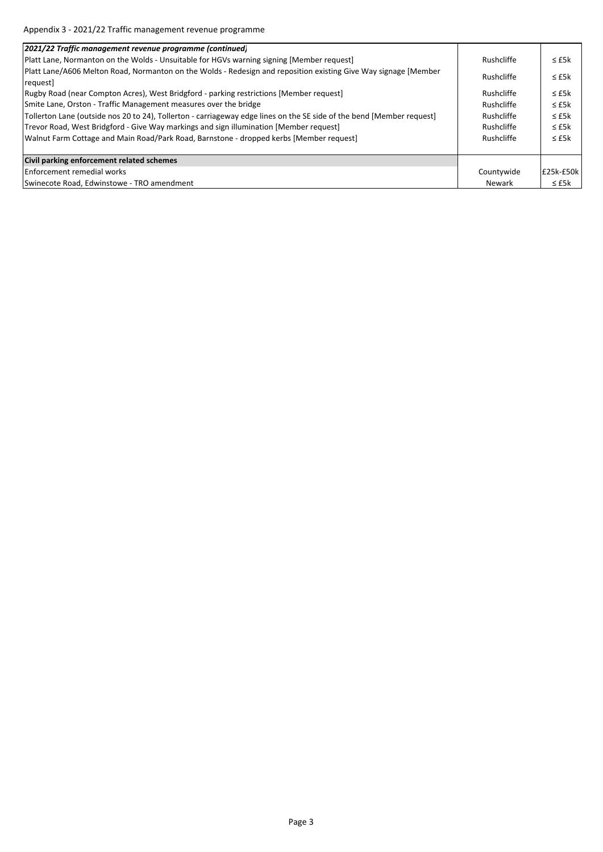| 2021/22 Traffic management revenue programme (continued)                                                                    |            |               |
|-----------------------------------------------------------------------------------------------------------------------------|------------|---------------|
| Platt Lane, Normanton on the Wolds - Unsuitable for HGVs warning signing [Member request]                                   | Rushcliffe | $\leq$ £5k    |
| Platt Lane/A606 Melton Road, Normanton on the Wolds - Redesign and reposition existing Give Way signage [Member<br>request] | Rushcliffe | $\leq$ £5 $k$ |
| Rugby Road (near Compton Acres), West Bridgford - parking restrictions [Member request]                                     | Rushcliffe | $\leq$ £5 $k$ |
| Smite Lane, Orston - Traffic Management measures over the bridge                                                            | Rushcliffe | $\leq$ £5 $k$ |
| Tollerton Lane (outside nos 20 to 24), Tollerton - carriageway edge lines on the SE side of the bend [Member request]       | Rushcliffe | $\leq$ £5 $k$ |
| Trevor Road, West Bridgford - Give Way markings and sign illumination [Member request]                                      | Rushcliffe | $\leq$ £5 $k$ |
| Walnut Farm Cottage and Main Road/Park Road, Barnstone - dropped kerbs [Member request]                                     | Rushcliffe | $\leq$ £5 $k$ |
|                                                                                                                             |            |               |
| Civil parking enforcement related schemes                                                                                   |            |               |
| <b>Enforcement remedial works</b>                                                                                           | Countywide | E25k-£50k     |
| Swinecote Road, Edwinstowe - TRO amendment                                                                                  | Newark     | $\leq$ £5k    |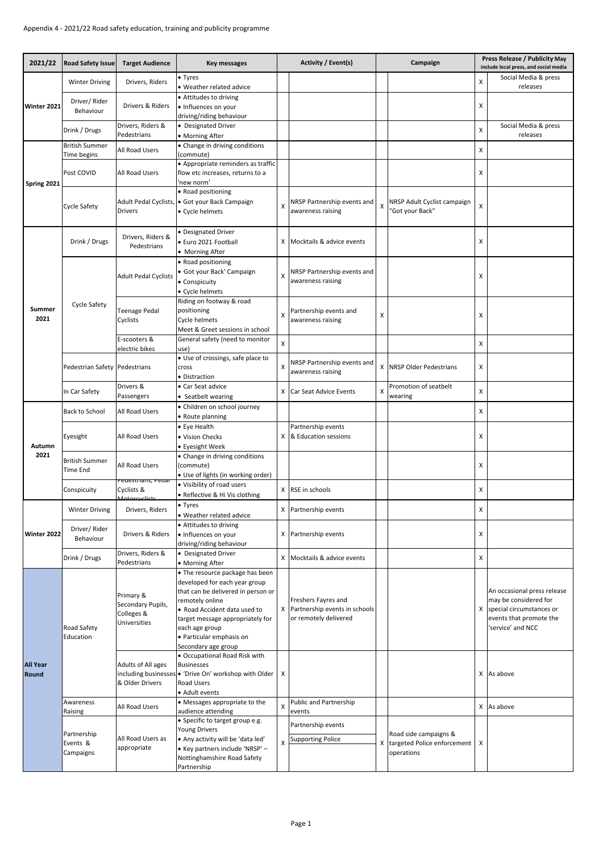| 2021/22                  | <b>Road Safety Issue</b>                 | <b>Target Audience</b>                                       | Key messages                                                                                                                                                                                                                                                       |                           | Activity / Event(s)                                                           | Campaign                  |                                                                    | Press Release / Publicity May<br>include local press, and social media |                                                                                                                                    |
|--------------------------|------------------------------------------|--------------------------------------------------------------|--------------------------------------------------------------------------------------------------------------------------------------------------------------------------------------------------------------------------------------------------------------------|---------------------------|-------------------------------------------------------------------------------|---------------------------|--------------------------------------------------------------------|------------------------------------------------------------------------|------------------------------------------------------------------------------------------------------------------------------------|
| Winter 2021              | <b>Winter Driving</b>                    | Drivers, Riders                                              | • Tyres                                                                                                                                                                                                                                                            |                           |                                                                               |                           |                                                                    | X                                                                      | Social Media & press                                                                                                               |
|                          |                                          |                                                              | · Weather related advice<br>• Attitudes to driving                                                                                                                                                                                                                 |                           |                                                                               |                           |                                                                    |                                                                        | releases                                                                                                                           |
|                          | Driver/Rider<br>Behaviour                | Drivers & Riders                                             | · Influences on your                                                                                                                                                                                                                                               |                           |                                                                               |                           |                                                                    | x                                                                      |                                                                                                                                    |
|                          |                                          | Drivers, Riders &                                            | driving/riding behaviour<br>• Designated Driver                                                                                                                                                                                                                    |                           |                                                                               |                           |                                                                    |                                                                        | Social Media & press                                                                                                               |
|                          | Drink / Drugs                            | Pedestrians                                                  | • Morning After                                                                                                                                                                                                                                                    |                           |                                                                               |                           |                                                                    | x                                                                      | releases                                                                                                                           |
|                          | <b>British Summer</b>                    | All Road Users                                               | • Change in driving conditions                                                                                                                                                                                                                                     |                           |                                                                               |                           |                                                                    | X                                                                      |                                                                                                                                    |
|                          | Time begins                              |                                                              | (commute)<br>· Appropriate reminders as traffic                                                                                                                                                                                                                    |                           |                                                                               |                           |                                                                    |                                                                        |                                                                                                                                    |
| Spring 2021              | Post COVID                               | All Road Users                                               | flow etc increases, returns to a<br>new norm'                                                                                                                                                                                                                      |                           |                                                                               |                           |                                                                    | x                                                                      |                                                                                                                                    |
|                          | Cycle Safety                             | Drivers                                                      | • Road positioning<br>Adult Pedal Cyclists, • Got your Back Campaign<br>• Cycle helmets                                                                                                                                                                            | X                         | NRSP Partnership events and<br>awareness raising                              | $\boldsymbol{\mathsf{X}}$ | NRSP Adult Cyclist campaign<br>"Got your Back"                     | X                                                                      |                                                                                                                                    |
|                          | Drink / Drugs                            | Drivers, Riders &<br>Pedestrians                             | · Designated Driver<br>· Euro 2021-Football<br>• Morning After                                                                                                                                                                                                     | X                         | Mocktails & advice events                                                     |                           |                                                                    | x                                                                      |                                                                                                                                    |
|                          |                                          | <b>Adult Pedal Cyclists</b>                                  | • Road positioning<br>· Got your Back' Campaign<br>• Conspicuity<br>• Cycle helmets                                                                                                                                                                                | X                         | NRSP Partnership events and<br>awareness raising                              |                           |                                                                    | X                                                                      |                                                                                                                                    |
| Summer<br>2021           | <b>Cycle Safety</b>                      | Teenage Pedal<br>Cyclists                                    | Riding on footway & road<br>positioning<br>Cycle helmets<br>Meet & Greet sessions in school                                                                                                                                                                        | X                         | Partnership events and<br>awareness raising                                   | X                         |                                                                    | x                                                                      |                                                                                                                                    |
|                          |                                          | E-scooters &<br>electric bikes                               | General safety (need to monitor<br>use)                                                                                                                                                                                                                            | X                         |                                                                               |                           |                                                                    | Χ                                                                      |                                                                                                                                    |
|                          | Pedestrian Safety                        | Pedestrians                                                  | . Use of crossings, safe place to<br>cross<br>• Distraction                                                                                                                                                                                                        | $\boldsymbol{\mathsf{x}}$ | NRSP Partnership events and<br>awareness raising                              |                           | X NRSP Older Pedestrians                                           | x                                                                      |                                                                                                                                    |
|                          | In Car Safety                            | Drivers &<br>Passengers                                      | • Car Seat advice<br>• Seatbelt wearing                                                                                                                                                                                                                            | X                         | Car Seat Advice Events                                                        | X                         | Promotion of seatbelt<br>wearing                                   | x                                                                      |                                                                                                                                    |
|                          | <b>Back to School</b>                    | All Road Users                                               | · Children on school journey<br>• Route planning                                                                                                                                                                                                                   |                           |                                                                               |                           |                                                                    | x                                                                      |                                                                                                                                    |
| Autumn                   | Eyesight                                 | All Road Users                                               | • Eye Health<br>· Vision Checks<br>• Eyesight Week                                                                                                                                                                                                                 | Χ                         | Partnership events<br>& Education sessions                                    |                           |                                                                    | x                                                                      |                                                                                                                                    |
| 2021                     | <b>British Summer</b><br><b>Time End</b> | All Road Users                                               | • Change in driving conditions<br>(commute)<br>• Use of lights (in working order)                                                                                                                                                                                  |                           |                                                                               |                           |                                                                    | x                                                                      |                                                                                                                                    |
|                          | Conspicuity                              | Pedestrians, Pedai<br>Cyclists &                             | . Visibility of road users<br>· Reflective & Hi Vis clothing                                                                                                                                                                                                       | x                         | RSE in schools                                                                |                           |                                                                    | Χ                                                                      |                                                                                                                                    |
|                          | <b>Winter Driving</b>                    | Drivers, Riders                                              | • Tyres<br>• Weather related advice                                                                                                                                                                                                                                |                           | X Partnership events                                                          |                           |                                                                    | X                                                                      |                                                                                                                                    |
| Winter 2022              | Driver/Rider<br>Behaviour                | Drivers & Riders                                             | • Attitudes to driving<br>· Influences on your<br>driving/riding behaviour                                                                                                                                                                                         | X                         | Partnership events                                                            |                           |                                                                    | x                                                                      |                                                                                                                                    |
|                          | Drink / Drugs                            | Drivers, Riders &<br>Pedestrians                             | • Designated Driver<br>• Morning After                                                                                                                                                                                                                             | X                         | Mocktails & advice events                                                     |                           |                                                                    | x                                                                      |                                                                                                                                    |
| <b>All Year</b><br>Round | Road Safety<br>Education                 | Primary &<br>Secondary Pupils,<br>Colleges &<br>Universities | • The resource package has been<br>developed for each year group<br>that can be delivered in person or<br>remotely online<br>• Road Accident data used to<br>target message appropriately for<br>each age group<br>· Particular emphasis on<br>Secondary age group | X                         | Freshers Fayres and<br>Partnership events in schools<br>or remotely delivered |                           |                                                                    |                                                                        | An occasional press release<br>may be considered for<br>X special circumstances or<br>events that promote the<br>'service' and NCC |
|                          |                                          | Adults of All ages<br>& Older Drivers                        | · Occupational Road Risk with<br><b>Businesses</b><br>including businesses • 'Drive On' workshop with Older<br>Road Users<br>• Adult events                                                                                                                        | Χ                         |                                                                               |                           |                                                                    |                                                                        | X As above                                                                                                                         |
|                          | Awareness<br>Raising                     | All Road Users                                               | • Messages appropriate to the<br>audience attending                                                                                                                                                                                                                | X                         | Public and Partnership<br>events                                              |                           |                                                                    |                                                                        | X As above                                                                                                                         |
|                          |                                          |                                                              | • Specific to target group e.g.                                                                                                                                                                                                                                    |                           | Partnership events                                                            |                           |                                                                    |                                                                        |                                                                                                                                    |
|                          | Partnership<br>Events &<br>Campaigns     | All Road Users as<br>appropriate                             | <b>Young Drivers</b><br>. Any activity will be 'data led'<br>• Key partners include 'NRSP' -<br>Nottinghamshire Road Safety<br>Partnership                                                                                                                         | X                         | <b>Supporting Police</b>                                                      | X                         | Road side campaigns &<br>targeted Police enforcement<br>operations | x                                                                      |                                                                                                                                    |